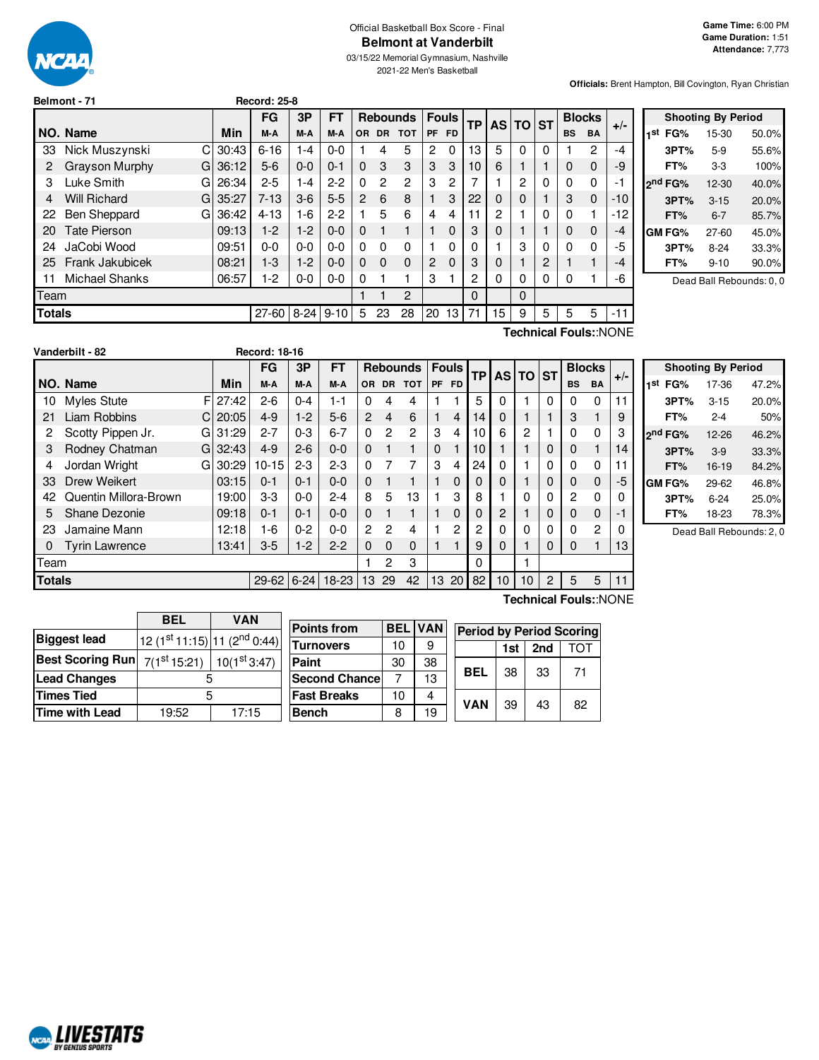

# Official Basketball Box Score - Final **Belmont at Vanderbilt**

03/15/22 Memorial Gymnasium, Nashville 2021-22 Men's Basketball

**Officials:** Brent Hampton, Bill Covington, Ryan Christian

|               | Belmont - 71        |     |       | <b>Record: 25-8</b> |          |         |                |                |                 |                |                 |              |          |          |   |           |               |                       |  |
|---------------|---------------------|-----|-------|---------------------|----------|---------|----------------|----------------|-----------------|----------------|-----------------|--------------|----------|----------|---|-----------|---------------|-----------------------|--|
|               |                     |     |       | FG                  | 3P       | FT      |                |                | <b>Rebounds</b> |                | <b>Fouls</b>    | <b>TP</b>    |          | AS TO ST |   |           | <b>Blocks</b> |                       |  |
|               | NO. Name            |     | Min   | M-A                 | M-A      | M-A     | OR.            | <b>DR</b>      | <b>TOT</b>      | PF             | <b>FD</b>       |              |          |          |   | <b>BS</b> | <b>BA</b>     | $+/-$                 |  |
| 33            | Nick Muszynski      | C l | 30:43 | $6 - 16$            | $1 - 4$  | $0 - 0$ |                | 4              | 5               | 2              | 0               | 13           | 5        | 0        | 0 |           | 2             | -4                    |  |
| 2             | Grayson Murphy      | GI  | 36:12 | $5-6$               | $0 - 0$  | $0 - 1$ | $\Omega$       | 3              | 3               | 3              | 3               | 10           | 6        |          |   | 0         | $\mathbf 0$   | -9                    |  |
| 3             | Luke Smith          | GI  | 26:34 | $2 - 5$             | $1 - 4$  | $2 - 2$ | $\Omega$       | $\overline{c}$ | 2               | 3              | 2               | 7            |          | 2        | 0 | 0         | 0             | -1                    |  |
| 4             | <b>Will Richard</b> | GI  | 35:27 | $7 - 13$            | $3-6$    | $5-5$   | $\overline{2}$ | 6              | 8               |                | 3               | 22           | 0        | 0        |   | 3         | $\mathbf 0$   | $-10$                 |  |
| 22            | <b>Ben Sheppard</b> | G.  | 36:42 | $4 - 13$            | 1-6      | $2 - 2$ |                | 5              | 6               | 4              | 4               |              | 2        |          | 0 | 0         |               | $-12$                 |  |
| 20            | <b>Tate Pierson</b> |     | 09:13 | $1-2$               | $1-2$    | $0 - 0$ | $\Omega$       |                |                 |                | 0               | 3            | 0        |          |   | $\Omega$  | $\mathbf 0$   | -4                    |  |
| 24            | JaCobi Wood         |     | 09:51 | $0 - 0$             | $0 - 0$  | $0 - 0$ | $\Omega$       | 0              | 0               |                | 0               | 0            |          | 3        | 0 | 0         | 0             | -5                    |  |
| 25            | Frank Jakubicek     |     | 08:21 | $1-3$               | $1-2$    | $0 - 0$ | $\Omega$       | $\Omega$       | 0               | $\overline{c}$ | 0               | 3            | $\Omega$ |          | 2 |           |               | -4                    |  |
| 11            | Michael Shanks      |     | 06:57 | 1-2                 | $0-0$    | $0-0$   | 0              |                |                 | 3              |                 | $\mathbf{2}$ | 0        | 0        | 0 | 0         |               | -6                    |  |
| Team          |                     |     |       |                     |          |         |                |                | 2               |                |                 | $\Omega$     |          | 0        |   |           |               |                       |  |
| <b>Totals</b> |                     |     |       | 27-60               | $8 - 24$ | $9-10$  | 5              | 23             | 28              | 20             | 13 <sup>1</sup> | 71           | 15       | 9        | 5 | 5         | 5             | $-11$                 |  |
|               |                     |     |       |                     |          |         |                |                |                 |                |                 |              |          |          |   |           |               | Technical Fouls::NONE |  |

|     |                     | <b>Shooting By Period</b> |       |
|-----|---------------------|---------------------------|-------|
| 1st | FG%                 | 15-30                     | 50.0% |
|     | 3PT%                | $5-9$                     | 55.6% |
|     | FT%                 | 3-3                       | 100%  |
|     | 2 <sup>nd</sup> FG% | 12-30                     | 40.0% |
|     | 3PT%                | $3 - 15$                  | 20.0% |
|     | FT%                 | $6 - 7$                   | 85.7% |
|     | <b>GM FG%</b>       | 27-60                     | 45.0% |
|     | 3PT%                | $8 - 24$                  | 33.3% |
|     | FT%                 | $9 - 10$                  | 90.0% |
|     |                     |                           |       |

Dead Ball Rebounds: 0, 0

|               | Vanderbilt - 82       |    |             | <b>Record: 18-16</b> |          |         |                |           |                 |             |              |           |              |          |             |           |                |       |
|---------------|-----------------------|----|-------------|----------------------|----------|---------|----------------|-----------|-----------------|-------------|--------------|-----------|--------------|----------|-------------|-----------|----------------|-------|
|               |                       |    |             | FG                   | 3Р       | FT      |                |           | <b>Rebounds</b> |             | <b>Fouls</b> | <b>TP</b> |              | AS TO ST |             |           | <b>Blocks</b>  |       |
|               | NO. Name              |    | Min         | M-A                  | M-A      | M-A     | OR.            | <b>DR</b> | <b>TOT</b>      |             | PF FD        |           |              |          |             | <b>BS</b> | <b>BA</b>      | $+/-$ |
| 10            | <b>Myles Stute</b>    |    | F127:42     | $2-6$                | $0 - 4$  | 1-1     | 0              | 4         | 4               |             |              | 5         | $\mathbf{0}$ |          | $\Omega$    | 0         | $\Omega$       | 11    |
| 21            | Liam Robbins          |    | $C$   20:05 | $4 - 9$              | $1-2$    | $5-6$   | $\overline{2}$ | 4         | 6               |             | 4            | 14        | 0            |          |             | 3         |                | 9     |
| 2             | Scotty Pippen Jr.     | G  | 31:29       | $2 - 7$              | $0 - 3$  | $6 - 7$ | $\Omega$       | 2         | 2               | 3           | 4            | 10        | 6            | 2        |             | 0         | 0              | 3     |
| 3             | Rodney Chatman        |    | G132:43     | $4 - 9$              | $2 - 6$  | $0 - 0$ | $\Omega$       |           |                 | $\mathbf 0$ |              | 10        |              |          | $\mathbf 0$ | 0         | $\mathbf{1}$   | 14    |
| 4             | Jordan Wright         | GI | 30:29       | $10 - 15$            | $2-3$    | $2 - 3$ | $\Omega$       | 7         | 7               | 3           | 4            | 24        | 0            |          | $\Omega$    | 0         | 0              | 11    |
| 33            | Drew Weikert          |    | 03:15       | $0 - 1$              | $0 - 1$  | $0 - 0$ | $\Omega$       |           |                 |             | $\Omega$     | 0         | 0            |          | $\mathbf 0$ | 0         | 0              | -5    |
| 42            | Quentin Millora-Brown |    | 19:00       | $3-3$                | $0 - 0$  | $2 - 4$ | 8              | 5         | 13              |             | 3            | 8         |              | 0        | $\mathbf 0$ | 2         | 0              | 0     |
| 5             | Shane Dezonie         |    | 09:18       | $0 - 1$              | $0 - 1$  | $0 - 0$ | $\Omega$       |           |                 |             | $\Omega$     | 0         | 2            |          | $\mathbf 0$ | 0         | 0              | -1    |
| 23            | Jamaine Mann          |    | 12:18       | 1-6                  | $0 - 2$  | $0 - 0$ | $\mathbf{2}$   | 2         | 4               |             | 2            | 2         | 0            | 0        | 0           | 0         | $\overline{c}$ |       |
| $\mathbf 0$   | Tyrin Lawrence        |    | 13:41       | $3-5$                | $1 - 2$  | $2 - 2$ | $\Omega$       | $\Omega$  | $\Omega$        |             |              | 9         | $\Omega$     |          | 0           | 0         |                | 13    |
| Team          |                       |    |             |                      |          |         |                | 2         | 3               |             |              | $\Omega$  |              |          |             |           |                |       |
| <b>Totals</b> |                       |    |             | 29-62                | $6 - 24$ | 18-23   | 13             | 29        | 42              | 13          | 20           | 82        | 10           | 10       | 2           | 5         | 5              | 11    |
|               |                       |    |             |                      |          |         |                |           |                 |             |              |           |              |          |             |           |                |       |

|                     | <b>Shooting By Period</b> |       |
|---------------------|---------------------------|-------|
| 1st<br>FG%          | 17-36                     | 47.2% |
| 3PT%                | $3 - 15$                  | 20.0% |
| FT%                 | $2 - 4$                   | 50%   |
| 2 <sup>nd</sup> FG% | $12-26$                   | 46.2% |
| 3PT%                | $3-9$                     | 33.3% |
| FT%                 | 16-19                     | 84.2% |
| GM FG%              | 29-62                     | 46.8% |
| 3PT%                | 6-24                      | 25.0% |
| FT%                 | 18-23                     | 78.3% |

Dead Ball Rebounds: 2, 0

| <b>BEL</b> | <b>VAN</b> |                                                                                                                                                       |  |  |  |  |
|------------|------------|-------------------------------------------------------------------------------------------------------------------------------------------------------|--|--|--|--|
|            |            |                                                                                                                                                       |  |  |  |  |
|            |            |                                                                                                                                                       |  |  |  |  |
|            |            | Ś                                                                                                                                                     |  |  |  |  |
| 5          |            |                                                                                                                                                       |  |  |  |  |
| 19:52      | 17:15      |                                                                                                                                                       |  |  |  |  |
|            |            | $\left  12 \left( 1^{\text{st}} 11:15 \right) \right  11 \left( 2^{\text{nd}} 0:44 \right) \right $<br>Best Scoring Run $7(1^{st}15:21)$ 10(1st 3:47) |  |  |  |  |

| <b>Points from</b>    | <b>BEL</b> | <b>VAN</b> | <b>Period by Period Scoring</b> |     |     |    |  |  |  |  |  |  |
|-----------------------|------------|------------|---------------------------------|-----|-----|----|--|--|--|--|--|--|
| Turnovers             | 10         | 9          |                                 | 1st | 2nd | רר |  |  |  |  |  |  |
| Paint                 | 30         | 38         |                                 |     |     |    |  |  |  |  |  |  |
| <b>Second Chancel</b> |            | 13         | BEL                             | 38  | 33  | 71 |  |  |  |  |  |  |
| <b>Fast Breaks</b>    | 10         | 4          | <b>VAN</b>                      |     |     |    |  |  |  |  |  |  |
| <b>Bench</b>          | 8          | 19         |                                 | 39  | 43  | 82 |  |  |  |  |  |  |

**Technical Fouls:**:NONE

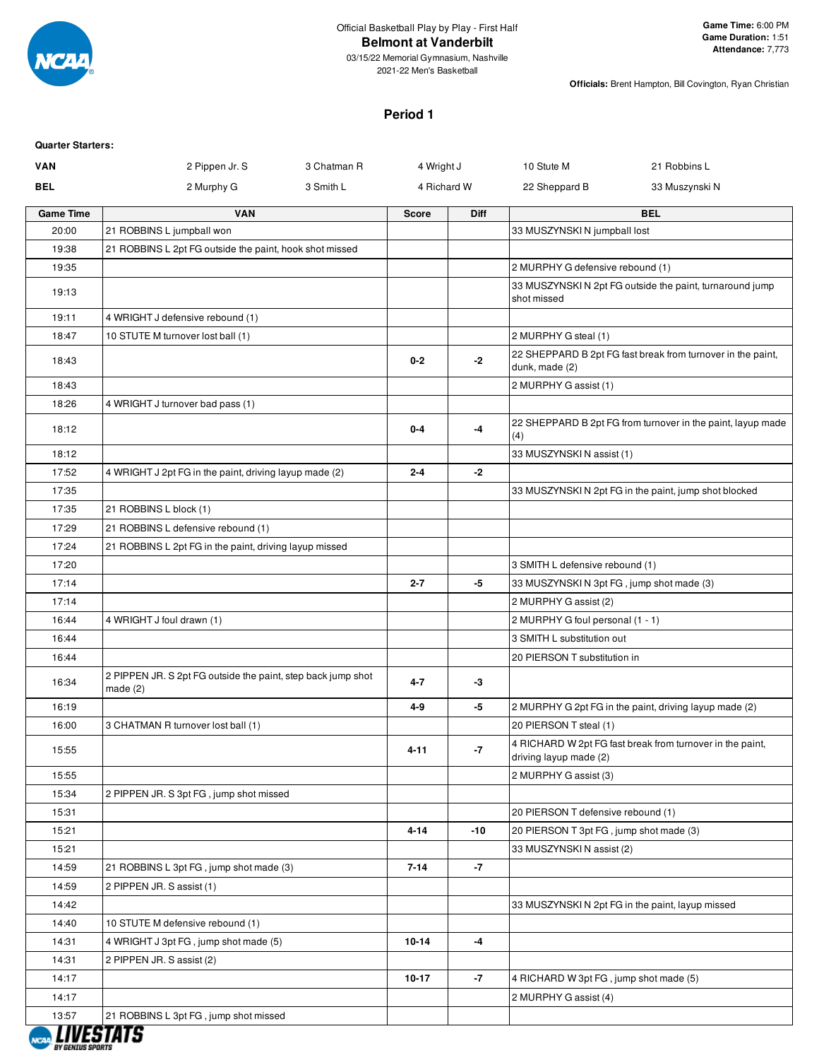

**Officials:** Brent Hampton, Bill Covington, Ryan Christian

#### **Period 1**

| <b>VAN</b>       | 2 Pippen Jr. S                                                          | 3 Chatman R  | 4 Wright J  | 10 Stute M                                | 21 Robbins L                                                |
|------------------|-------------------------------------------------------------------------|--------------|-------------|-------------------------------------------|-------------------------------------------------------------|
| <b>BEL</b>       | 2 Murphy G                                                              | 3 Smith L    | 4 Richard W | 22 Sheppard B                             | 33 Muszynski N                                              |
| <b>Game Time</b> | <b>VAN</b>                                                              | <b>Score</b> | <b>Diff</b> |                                           | <b>BEL</b>                                                  |
| 20:00            | 21 ROBBINS L jumpball won                                               |              |             | 33 MUSZYNSKI N jumpball lost              |                                                             |
| 19:38            | 21 ROBBINS L 2pt FG outside the paint, hook shot missed                 |              |             |                                           |                                                             |
| 19:35            |                                                                         |              |             | 2 MURPHY G defensive rebound (1)          |                                                             |
| 19:13            |                                                                         |              |             | shot missed                               | 33 MUSZYNSKI N 2pt FG outside the paint, turnaround jump    |
| 19:11            | 4 WRIGHT J defensive rebound (1)                                        |              |             |                                           |                                                             |
| 18:47            | 10 STUTE M turnover lost ball (1)                                       |              |             | 2 MURPHY G steal (1)                      |                                                             |
| 18:43            |                                                                         | $0 - 2$      | $-2$        | dunk, made (2)                            | 22 SHEPPARD B 2pt FG fast break from turnover in the paint, |
| 18:43            |                                                                         |              |             | 2 MURPHY G assist (1)                     |                                                             |
| 18:26            | 4 WRIGHT J turnover bad pass (1)                                        |              |             |                                           |                                                             |
| 18:12            |                                                                         | $0-4$        | -4          | (4)                                       | 22 SHEPPARD B 2pt FG from turnover in the paint, layup made |
| 18:12            |                                                                         |              |             | 33 MUSZYNSKIN assist (1)                  |                                                             |
| 17:52            | 4 WRIGHT J 2pt FG in the paint, driving layup made (2)                  | $2 - 4$      | -2          |                                           |                                                             |
| 17:35            |                                                                         |              |             |                                           | 33 MUSZYNSKI N 2pt FG in the paint, jump shot blocked       |
| 17:35            | 21 ROBBINS L block (1)                                                  |              |             |                                           |                                                             |
| 17:29            | 21 ROBBINS L defensive rebound (1)                                      |              |             |                                           |                                                             |
| 17:24            | 21 ROBBINS L 2pt FG in the paint, driving layup missed                  |              |             |                                           |                                                             |
| 17:20            |                                                                         |              |             | 3 SMITH L defensive rebound (1)           |                                                             |
| 17:14            |                                                                         | $2 - 7$      | -5          | 33 MUSZYNSKI N 3pt FG, jump shot made (3) |                                                             |
| 17:14            |                                                                         |              |             | 2 MURPHY G assist (2)                     |                                                             |
| 16:44            | 4 WRIGHT J foul drawn (1)                                               |              |             | 2 MURPHY G foul personal (1 - 1)          |                                                             |
| 16:44            |                                                                         |              |             | 3 SMITH L substitution out                |                                                             |
| 16:44            |                                                                         |              |             | 20 PIERSON T substitution in              |                                                             |
| 16:34            | 2 PIPPEN JR. S 2pt FG outside the paint, step back jump shot<br>made(2) | 4-7          | -3          |                                           |                                                             |
| 16:19            |                                                                         | 4-9          | -5          |                                           | 2 MURPHY G 2pt FG in the paint, driving layup made (2)      |
| 16:00            | 3 CHATMAN R turnover lost ball (1)                                      |              |             | 20 PIERSON T steal (1)                    |                                                             |
| 15:55            |                                                                         | 4-11         | -7          | driving layup made (2)                    | 4 RICHARD W 2pt FG fast break from turnover in the paint,   |
| 15:55            |                                                                         |              |             | 2 MURPHY G assist (3)                     |                                                             |
| 15:34            | 2 PIPPEN JR. S 3pt FG, jump shot missed                                 |              |             |                                           |                                                             |
| 15:31            |                                                                         |              |             | 20 PIERSON T defensive rebound (1)        |                                                             |
| 15:21            |                                                                         | $4 - 14$     | -10         | 20 PIERSON T 3pt FG, jump shot made (3)   |                                                             |
| 15:21            |                                                                         |              |             | 33 MUSZYNSKI N assist (2)                 |                                                             |
| 14:59            | 21 ROBBINS L 3pt FG, jump shot made (3)                                 | $7 - 14$     | $-7$        |                                           |                                                             |
| 14:59            | 2 PIPPEN JR. S assist (1)                                               |              |             |                                           |                                                             |
| 14:42            |                                                                         |              |             |                                           | 33 MUSZYNSKI N 2pt FG in the paint, layup missed            |
| 14:40            | 10 STUTE M defensive rebound (1)                                        |              |             |                                           |                                                             |
| 14:31            | 4 WRIGHT J 3pt FG, jump shot made (5)                                   | $10 - 14$    | $-4$        |                                           |                                                             |
| 14:31            | 2 PIPPEN JR. S assist (2)                                               |              |             |                                           |                                                             |
| 14:17            |                                                                         | 10-17        | $-7$        | 4 RICHARD W 3pt FG, jump shot made (5)    |                                                             |
| 14:17            |                                                                         |              |             | 2 MURPHY G assist (4)                     |                                                             |
| 13:57            | 21 ROBBINS L 3pt FG, jump shot missed                                   |              |             |                                           |                                                             |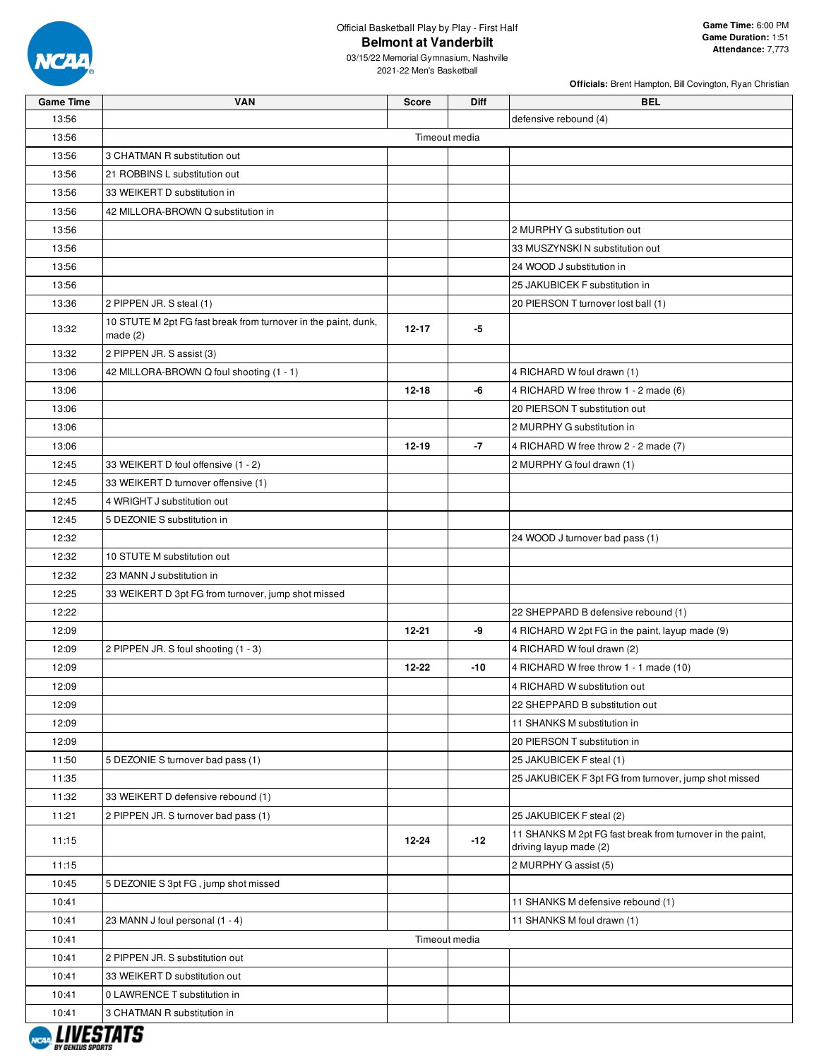

03/15/22 Memorial Gymnasium, Nashville 2021-22 Men's Basketball

| <b>Game Time</b> | <b>VAN</b>                                                                   | <b>Score</b> | <b>Diff</b>   | <b>BEL</b>                                                                          |
|------------------|------------------------------------------------------------------------------|--------------|---------------|-------------------------------------------------------------------------------------|
| 13:56            |                                                                              |              |               | defensive rebound (4)                                                               |
| 13:56            |                                                                              |              | Timeout media |                                                                                     |
| 13:56            | 3 CHATMAN R substitution out                                                 |              |               |                                                                                     |
| 13:56            | 21 ROBBINS L substitution out                                                |              |               |                                                                                     |
| 13:56            | 33 WEIKERT D substitution in                                                 |              |               |                                                                                     |
| 13:56            | 42 MILLORA-BROWN Q substitution in                                           |              |               |                                                                                     |
| 13:56            |                                                                              |              |               | 2 MURPHY G substitution out                                                         |
| 13:56            |                                                                              |              |               | 33 MUSZYNSKI N substitution out                                                     |
| 13:56            |                                                                              |              |               | 24 WOOD J substitution in                                                           |
| 13:56            |                                                                              |              |               | 25 JAKUBICEK F substitution in                                                      |
| 13:36            | 2 PIPPEN JR. S steal (1)                                                     |              |               | 20 PIERSON T turnover lost ball (1)                                                 |
| 13:32            | 10 STUTE M 2pt FG fast break from turnover in the paint, dunk,<br>made $(2)$ | 12-17        | -5            |                                                                                     |
| 13:32            | 2 PIPPEN JR. S assist (3)                                                    |              |               |                                                                                     |
| 13:06            | 42 MILLORA-BROWN Q foul shooting (1 - 1)                                     |              |               | 4 RICHARD W foul drawn (1)                                                          |
| 13:06            |                                                                              | $12 - 18$    | -6            | 4 RICHARD W free throw 1 - 2 made (6)                                               |
| 13:06            |                                                                              |              |               | 20 PIERSON T substitution out                                                       |
| 13:06            |                                                                              |              |               | 2 MURPHY G substitution in                                                          |
| 13:06            |                                                                              | $12 - 19$    | $-7$          | 4 RICHARD W free throw 2 - 2 made (7)                                               |
| 12:45            | 33 WEIKERT D foul offensive (1 - 2)                                          |              |               | 2 MURPHY G foul drawn (1)                                                           |
| 12:45            | 33 WEIKERT D turnover offensive (1)                                          |              |               |                                                                                     |
| 12:45            | 4 WRIGHT J substitution out                                                  |              |               |                                                                                     |
| 12:45            | 5 DEZONIE S substitution in                                                  |              |               |                                                                                     |
| 12:32            |                                                                              |              |               | 24 WOOD J turnover bad pass (1)                                                     |
| 12:32            | 10 STUTE M substitution out                                                  |              |               |                                                                                     |
| 12:32            | 23 MANN J substitution in                                                    |              |               |                                                                                     |
| 12:25            | 33 WEIKERT D 3pt FG from turnover, jump shot missed                          |              |               |                                                                                     |
| 12:22            |                                                                              |              |               | 22 SHEPPARD B defensive rebound (1)                                                 |
| 12:09            |                                                                              | $12 - 21$    | -9            | 4 RICHARD W 2pt FG in the paint, layup made (9)                                     |
| 12:09            | 2 PIPPEN JR. S foul shooting (1 - 3)                                         |              |               | 4 RICHARD W foul drawn (2)                                                          |
| 12:09            |                                                                              | $12 - 22$    | $-10$         | 4 RICHARD W free throw 1 - 1 made (10)                                              |
| 12:09            |                                                                              |              |               | 4 RICHARD W substitution out                                                        |
| 12:09            |                                                                              |              |               | 22 SHEPPARD B substitution out                                                      |
| 12:09            |                                                                              |              |               | 11 SHANKS M substitution in                                                         |
| 12:09            |                                                                              |              |               | 20 PIERSON T substitution in                                                        |
| 11:50            | 5 DEZONIE S turnover bad pass (1)                                            |              |               | 25 JAKUBICEK F steal (1)                                                            |
| 11:35            |                                                                              |              |               | 25 JAKUBICEK F 3pt FG from turnover, jump shot missed                               |
| 11:32            | 33 WEIKERT D defensive rebound (1)                                           |              |               |                                                                                     |
| 11:21            | 2 PIPPEN JR. S turnover bad pass (1)                                         |              |               | 25 JAKUBICEK F steal (2)                                                            |
| 11:15            |                                                                              | $12 - 24$    | $-12$         | 11 SHANKS M 2pt FG fast break from turnover in the paint,<br>driving layup made (2) |
| 11:15            |                                                                              |              |               | 2 MURPHY G assist (5)                                                               |
| 10:45            | 5 DEZONIE S 3pt FG, jump shot missed                                         |              |               |                                                                                     |
| 10:41            |                                                                              |              |               | 11 SHANKS M defensive rebound (1)                                                   |
| 10:41            | 23 MANN J foul personal (1 - 4)                                              |              |               | 11 SHANKS M foul drawn (1)                                                          |
| 10:41            |                                                                              |              | Timeout media |                                                                                     |
| 10:41            | 2 PIPPEN JR. S substitution out                                              |              |               |                                                                                     |
| 10:41            | 33 WEIKERT D substitution out                                                |              |               |                                                                                     |
| 10:41            | 0 LAWRENCE T substitution in                                                 |              |               |                                                                                     |
| 10:41            | 3 CHATMAN R substitution in                                                  |              |               |                                                                                     |

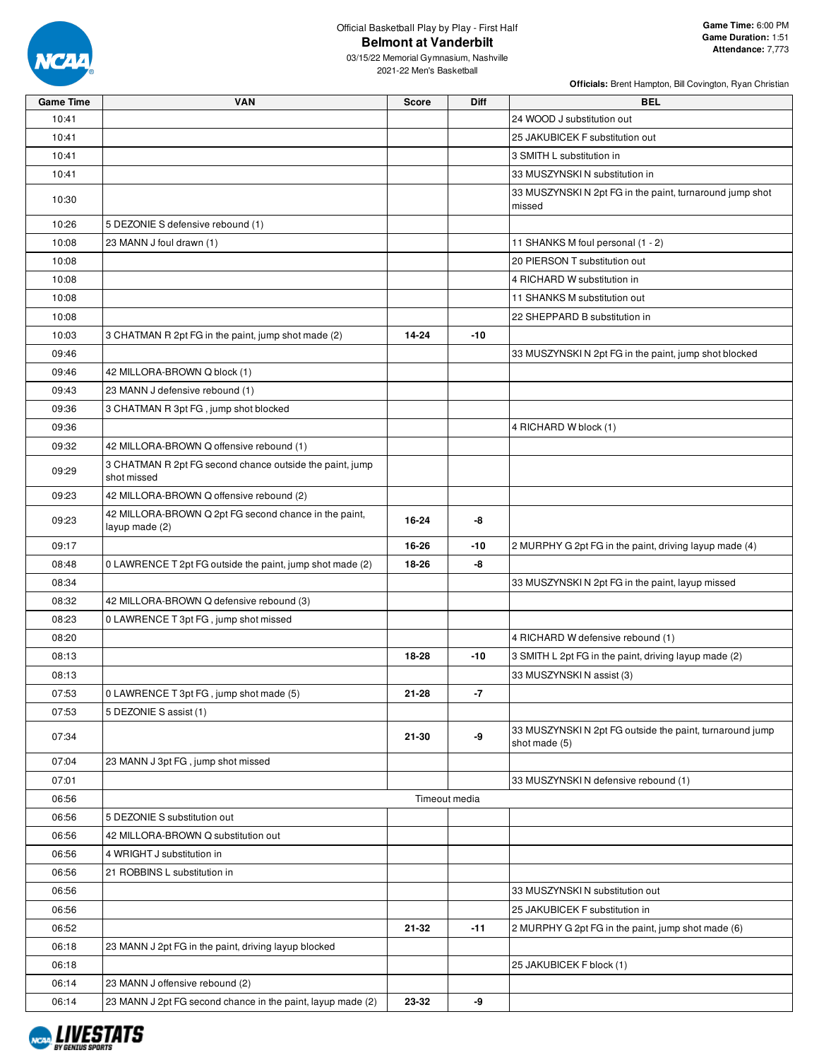

**Officials:** Brent Hampton, Bill Covington, Ryan Christian

03/15/22 Memorial Gymnasium, Nashville 2021-22 Men's Basketball

| <b>Game Time</b> | <b>VAN</b>                                                              | <b>Score</b> | <b>Diff</b>   | <b>BEL</b>                                                                |
|------------------|-------------------------------------------------------------------------|--------------|---------------|---------------------------------------------------------------------------|
| 10:41            |                                                                         |              |               | 24 WOOD J substitution out                                                |
| 10:41            |                                                                         |              |               | 25 JAKUBICEK F substitution out                                           |
| 10:41            |                                                                         |              |               | 3 SMITH L substitution in                                                 |
| 10:41            |                                                                         |              |               | 33 MUSZYNSKI N substitution in                                            |
| 10:30            |                                                                         |              |               | 33 MUSZYNSKIN 2pt FG in the paint, turnaround jump shot<br>missed         |
| 10:26            | 5 DEZONIE S defensive rebound (1)                                       |              |               |                                                                           |
| 10:08            | 23 MANN J foul drawn (1)                                                |              |               | 11 SHANKS M foul personal (1 - 2)                                         |
| 10:08            |                                                                         |              |               | 20 PIERSON T substitution out                                             |
| 10:08            |                                                                         |              |               | 4 RICHARD W substitution in                                               |
| 10:08            |                                                                         |              |               | 11 SHANKS M substitution out                                              |
| 10:08            |                                                                         |              |               | 22 SHEPPARD B substitution in                                             |
| 10:03            | 3 CHATMAN R 2pt FG in the paint, jump shot made (2)                     | 14-24        | -10           |                                                                           |
| 09:46            |                                                                         |              |               | 33 MUSZYNSKIN 2pt FG in the paint, jump shot blocked                      |
| 09:46            | 42 MILLORA-BROWN Q block (1)                                            |              |               |                                                                           |
| 09:43            | 23 MANN J defensive rebound (1)                                         |              |               |                                                                           |
| 09:36            | 3 CHATMAN R 3pt FG, jump shot blocked                                   |              |               |                                                                           |
| 09:36            |                                                                         |              |               | 4 RICHARD W block (1)                                                     |
| 09:32            | 42 MILLORA-BROWN Q offensive rebound (1)                                |              |               |                                                                           |
| 09:29            | 3 CHATMAN R 2pt FG second chance outside the paint, jump<br>shot missed |              |               |                                                                           |
| 09:23            | 42 MILLORA-BROWN Q offensive rebound (2)                                |              |               |                                                                           |
| 09:23            | 42 MILLORA-BROWN Q 2pt FG second chance in the paint,<br>layup made (2) | 16-24        | -8            |                                                                           |
| 09:17            |                                                                         | 16-26        | -10           | 2 MURPHY G 2pt FG in the paint, driving layup made (4)                    |
| 08:48            | 0 LAWRENCE T 2pt FG outside the paint, jump shot made (2)               | 18-26        | -8            |                                                                           |
| 08:34            |                                                                         |              |               | 33 MUSZYNSKIN 2pt FG in the paint, layup missed                           |
| 08:32            | 42 MILLORA-BROWN Q defensive rebound (3)                                |              |               |                                                                           |
| 08:23            | 0 LAWRENCE T 3pt FG, jump shot missed                                   |              |               |                                                                           |
| 08:20            |                                                                         |              |               | 4 RICHARD W defensive rebound (1)                                         |
| 08:13            |                                                                         | 18-28        | $-10$         | 3 SMITH L 2pt FG in the paint, driving layup made (2)                     |
| 08:13            |                                                                         |              |               | 33 MUSZYNSKI N assist (3)                                                 |
| 07:53            | 0 LAWRENCE T 3pt FG, jump shot made (5)                                 | 21-28        | -7            |                                                                           |
| 07:53            | 5 DEZONIE S assist (1)                                                  |              |               |                                                                           |
| 07:34            |                                                                         | 21-30        | -9            | 33 MUSZYNSKI N 2pt FG outside the paint, turnaround jump<br>shot made (5) |
| 07:04            | 23 MANN J 3pt FG, jump shot missed                                      |              |               |                                                                           |
| 07:01            |                                                                         |              |               | 33 MUSZYNSKI N defensive rebound (1)                                      |
| 06:56            |                                                                         |              | Timeout media |                                                                           |
| 06:56            | 5 DEZONIE S substitution out                                            |              |               |                                                                           |
| 06:56            | 42 MILLORA-BROWN Q substitution out                                     |              |               |                                                                           |
| 06:56            | 4 WRIGHT J substitution in                                              |              |               |                                                                           |
| 06:56            | 21 ROBBINS L substitution in                                            |              |               |                                                                           |
| 06:56            |                                                                         |              |               | 33 MUSZYNSKIN substitution out                                            |
| 06:56            |                                                                         |              |               | 25 JAKUBICEK F substitution in                                            |
| 06:52            |                                                                         | 21-32        | $-11$         | 2 MURPHY G 2pt FG in the paint, jump shot made (6)                        |
| 06:18            | 23 MANN J 2pt FG in the paint, driving layup blocked                    |              |               |                                                                           |
| 06:18            |                                                                         |              |               | 25 JAKUBICEK F block (1)                                                  |
| 06:14            | 23 MANN J offensive rebound (2)                                         |              |               |                                                                           |
| 06:14            | 23 MANN J 2pt FG second chance in the paint, layup made (2)             | 23-32        | -9            |                                                                           |

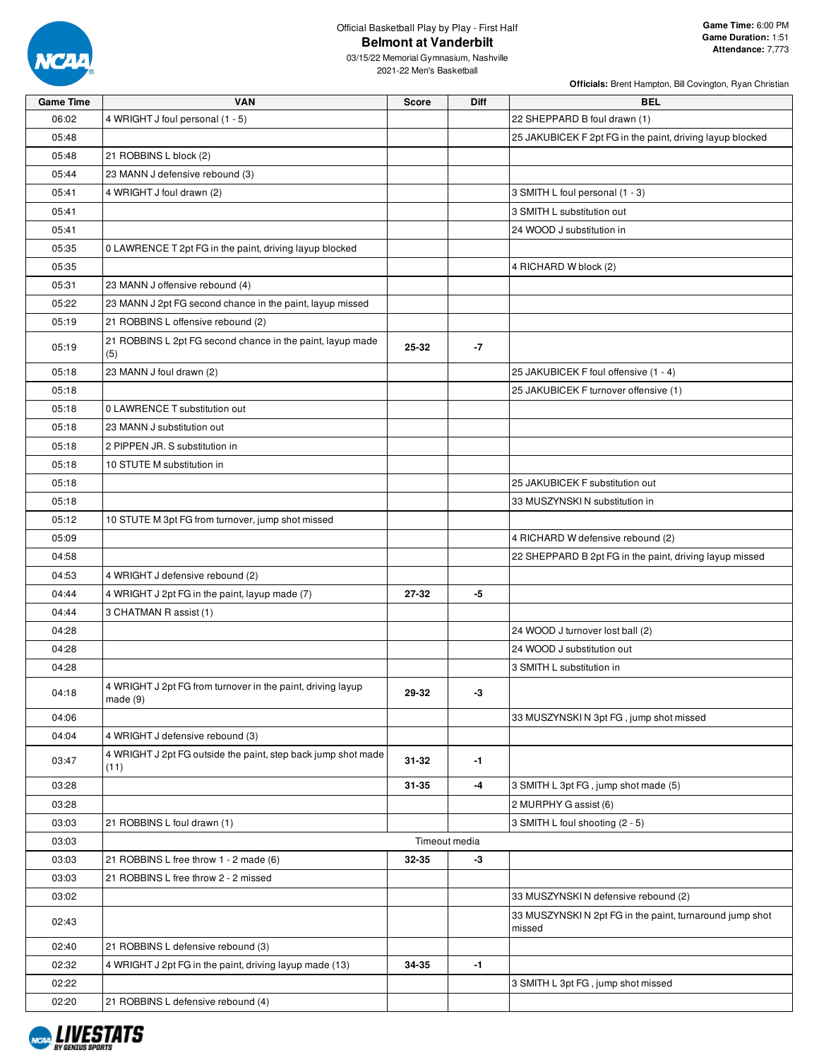

**Officials:** Brent Hampton, Bill Covington, Ryan Christian

03/15/22 Memorial Gymnasium, Nashville 2021-22 Men's Basketball

| <b>Game Time</b> | <b>VAN</b>                                                                | <b>Score</b> | <b>Diff</b>   | <b>BEL</b>                                                |
|------------------|---------------------------------------------------------------------------|--------------|---------------|-----------------------------------------------------------|
| 06:02            | 4 WRIGHT J foul personal (1 - 5)                                          |              |               | 22 SHEPPARD B foul drawn (1)                              |
| 05:48            |                                                                           |              |               | 25 JAKUBICEK F 2pt FG in the paint, driving layup blocked |
| 05:48            | 21 ROBBINS L block (2)                                                    |              |               |                                                           |
| 05:44            | 23 MANN J defensive rebound (3)                                           |              |               |                                                           |
| 05:41            | 4 WRIGHT J foul drawn (2)                                                 |              |               | 3 SMITH L foul personal (1 - 3)                           |
| 05:41            |                                                                           |              |               | 3 SMITH L substitution out                                |
| 05:41            |                                                                           |              |               | 24 WOOD J substitution in                                 |
| 05:35            | 0 LAWRENCE T 2pt FG in the paint, driving layup blocked                   |              |               |                                                           |
| 05:35            |                                                                           |              |               | 4 RICHARD W block (2)                                     |
| 05:31            | 23 MANN J offensive rebound (4)                                           |              |               |                                                           |
| 05:22            | 23 MANN J 2pt FG second chance in the paint, layup missed                 |              |               |                                                           |
| 05:19            | 21 ROBBINS L offensive rebound (2)                                        |              |               |                                                           |
| 05:19            | 21 ROBBINS L 2pt FG second chance in the paint, layup made                | 25-32        | $-7$          |                                                           |
|                  | (5)                                                                       |              |               |                                                           |
| 05:18            | 23 MANN J foul drawn (2)                                                  |              |               | 25 JAKUBICEK F foul offensive (1 - 4)                     |
| 05:18            |                                                                           |              |               | 25 JAKUBICEK F turnover offensive (1)                     |
| 05:18            | 0 LAWRENCE T substitution out                                             |              |               |                                                           |
| 05:18            | 23 MANN J substitution out                                                |              |               |                                                           |
| 05:18            | 2 PIPPEN JR. S substitution in                                            |              |               |                                                           |
| 05:18            | 10 STUTE M substitution in                                                |              |               |                                                           |
| 05:18            |                                                                           |              |               | 25 JAKUBICEK F substitution out                           |
| 05:18            |                                                                           |              |               | 33 MUSZYNSKI N substitution in                            |
| 05:12            | 10 STUTE M 3pt FG from turnover, jump shot missed                         |              |               |                                                           |
| 05:09            |                                                                           |              |               | 4 RICHARD W defensive rebound (2)                         |
| 04:58            |                                                                           |              |               | 22 SHEPPARD B 2pt FG in the paint, driving layup missed   |
| 04:53            | 4 WRIGHT J defensive rebound (2)                                          |              |               |                                                           |
| 04:44            | 4 WRIGHT J 2pt FG in the paint, layup made (7)                            | 27-32        | -5            |                                                           |
| 04:44            | 3 CHATMAN R assist (1)                                                    |              |               |                                                           |
| 04:28            |                                                                           |              |               | 24 WOOD J turnover lost ball (2)                          |
| 04:28            |                                                                           |              |               | 24 WOOD J substitution out                                |
| 04:28            |                                                                           |              |               | 3 SMITH L substitution in                                 |
| 04:18            | 4 WRIGHT J 2pt FG from turnover in the paint, driving layup<br>made $(9)$ | 29-32        | -3            |                                                           |
| 04:06            |                                                                           |              |               | 33 MUSZYNSKI N 3pt FG, jump shot missed                   |
| 04:04            | 4 WRIGHT J defensive rebound (3)                                          |              |               |                                                           |
| 03:47            | 4 WRIGHT J 2pt FG outside the paint, step back jump shot made<br>(11)     | 31-32        | -1            |                                                           |
| 03:28            |                                                                           | 31-35        | -4            | 3 SMITH L 3pt FG, jump shot made (5)                      |
| 03:28            |                                                                           |              |               | 2 MURPHY G assist (6)                                     |
| 03:03            | 21 ROBBINS L foul drawn (1)                                               |              |               | 3 SMITH L foul shooting (2 - 5)                           |
| 03:03            |                                                                           |              | Timeout media |                                                           |
| 03:03            | 21 ROBBINS L free throw 1 - 2 made (6)                                    | 32-35        | -3            |                                                           |
| 03:03            | 21 ROBBINS L free throw 2 - 2 missed                                      |              |               |                                                           |
| 03:02            |                                                                           |              |               | 33 MUSZYNSKI N defensive rebound (2)                      |
| 02:43            |                                                                           |              |               | 33 MUSZYNSKIN 2pt FG in the paint, turnaround jump shot   |
|                  |                                                                           |              |               | missed                                                    |
| 02:40            | 21 ROBBINS L defensive rebound (3)                                        |              |               |                                                           |
| 02:32            | 4 WRIGHT J 2pt FG in the paint, driving layup made (13)                   | 34-35        | -1            |                                                           |
| 02:22            |                                                                           |              |               | 3 SMITH L 3pt FG, jump shot missed                        |
| 02:20            | 21 ROBBINS L defensive rebound (4)                                        |              |               |                                                           |

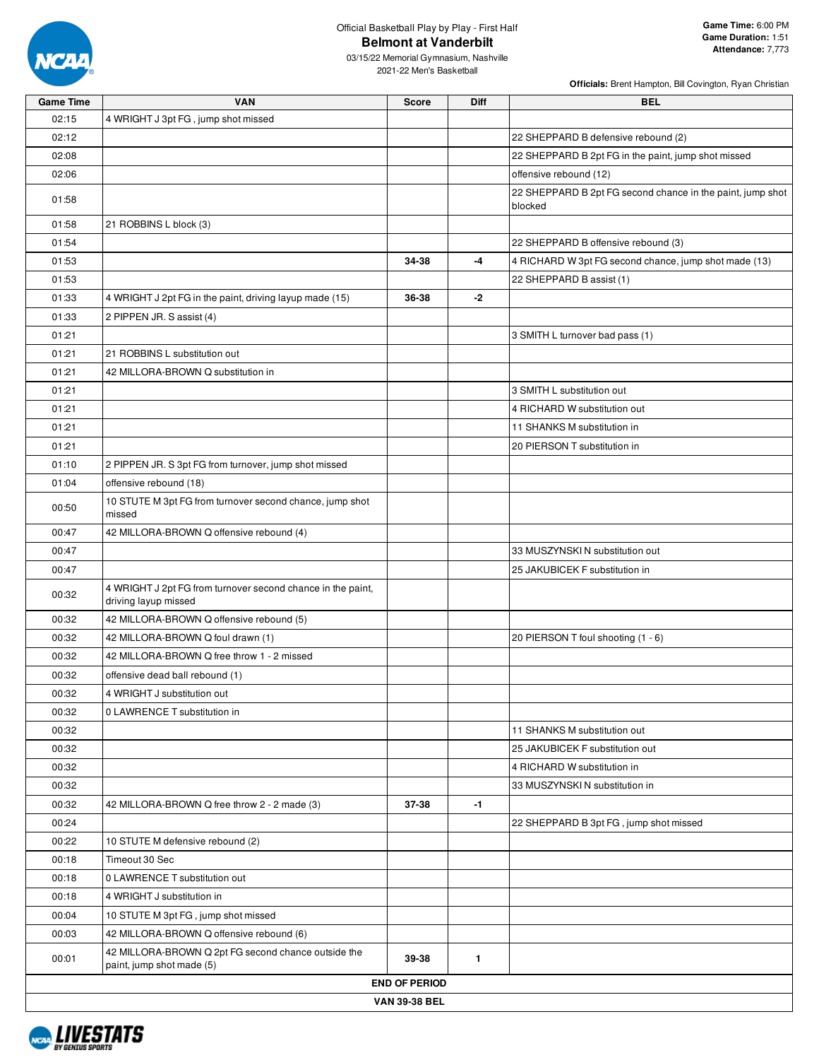

| <b>Game Time</b> | <b>VAN</b>                                                                          | <b>Score</b>         | Diff         | <b>BEL</b>                                                            |
|------------------|-------------------------------------------------------------------------------------|----------------------|--------------|-----------------------------------------------------------------------|
| 02:15            | 4 WRIGHT J 3pt FG, jump shot missed                                                 |                      |              |                                                                       |
| 02:12            |                                                                                     |                      |              | 22 SHEPPARD B defensive rebound (2)                                   |
| 02:08            |                                                                                     |                      |              | 22 SHEPPARD B 2pt FG in the paint, jump shot missed                   |
| 02:06            |                                                                                     |                      |              | offensive rebound (12)                                                |
| 01:58            |                                                                                     |                      |              | 22 SHEPPARD B 2pt FG second chance in the paint, jump shot<br>blocked |
| 01:58            | 21 ROBBINS L block (3)                                                              |                      |              |                                                                       |
| 01:54            |                                                                                     |                      |              | 22 SHEPPARD B offensive rebound (3)                                   |
| 01:53            |                                                                                     | 34-38                | -4           | 4 RICHARD W 3pt FG second chance, jump shot made (13)                 |
| 01:53            |                                                                                     |                      |              | 22 SHEPPARD B assist (1)                                              |
| 01:33            | 4 WRIGHT J 2pt FG in the paint, driving layup made (15)                             | 36-38                | $-2$         |                                                                       |
| 01:33            | 2 PIPPEN JR. S assist (4)                                                           |                      |              |                                                                       |
| 01:21            |                                                                                     |                      |              | 3 SMITH L turnover bad pass (1)                                       |
| 01:21            | 21 ROBBINS L substitution out                                                       |                      |              |                                                                       |
| 01:21            | 42 MILLORA-BROWN Q substitution in                                                  |                      |              |                                                                       |
| 01:21            |                                                                                     |                      |              | 3 SMITH L substitution out                                            |
| 01:21            |                                                                                     |                      |              | 4 RICHARD W substitution out                                          |
| 01:21            |                                                                                     |                      |              | 11 SHANKS M substitution in                                           |
| 01:21            |                                                                                     |                      |              | 20 PIERSON T substitution in                                          |
| 01:10            | 2 PIPPEN JR. S 3pt FG from turnover, jump shot missed                               |                      |              |                                                                       |
| 01:04            | offensive rebound (18)                                                              |                      |              |                                                                       |
| 00:50            | 10 STUTE M 3pt FG from turnover second chance, jump shot<br>missed                  |                      |              |                                                                       |
| 00:47            | 42 MILLORA-BROWN Q offensive rebound (4)                                            |                      |              |                                                                       |
| 00:47            |                                                                                     |                      |              | 33 MUSZYNSKI N substitution out                                       |
| 00:47            |                                                                                     |                      |              | 25 JAKUBICEK F substitution in                                        |
| 00:32            | 4 WRIGHT J 2pt FG from turnover second chance in the paint,<br>driving layup missed |                      |              |                                                                       |
| 00:32            | 42 MILLORA-BROWN Q offensive rebound (5)                                            |                      |              |                                                                       |
| 00:32            | 42 MILLORA-BROWN Q foul drawn (1)                                                   |                      |              | 20 PIERSON T foul shooting (1 - 6)                                    |
| 00:32            | 42 MILLORA-BROWN Q free throw 1 - 2 missed                                          |                      |              |                                                                       |
| 00:32            | offensive dead ball rebound (1)                                                     |                      |              |                                                                       |
| 00:32            | 4 WRIGHT J substitution out                                                         |                      |              |                                                                       |
| 00:32            | 0 LAWRENCE T substitution in                                                        |                      |              |                                                                       |
| 00:32            |                                                                                     |                      |              | 11 SHANKS M substitution out                                          |
| 00:32            |                                                                                     |                      |              | 25 JAKUBICEK F substitution out                                       |
| 00:32            |                                                                                     |                      |              | 4 RICHARD W substitution in                                           |
| 00:32            |                                                                                     |                      |              | 33 MUSZYNSKI N substitution in                                        |
| 00:32            | 42 MILLORA-BROWN Q free throw 2 - 2 made (3)                                        | 37-38                | $-1$         |                                                                       |
| 00:24            |                                                                                     |                      |              | 22 SHEPPARD B 3pt FG, jump shot missed                                |
| 00:22            | 10 STUTE M defensive rebound (2)                                                    |                      |              |                                                                       |
| 00:18            | Timeout 30 Sec                                                                      |                      |              |                                                                       |
| 00:18            | 0 LAWRENCE T substitution out                                                       |                      |              |                                                                       |
| 00:18            | 4 WRIGHT J substitution in                                                          |                      |              |                                                                       |
| 00:04            | 10 STUTE M 3pt FG, jump shot missed                                                 |                      |              |                                                                       |
| 00:03            | 42 MILLORA-BROWN Q offensive rebound (6)                                            |                      |              |                                                                       |
| 00:01            | 42 MILLORA-BROWN Q 2pt FG second chance outside the<br>paint, jump shot made (5)    | 39-38                | $\mathbf{1}$ |                                                                       |
|                  |                                                                                     | <b>END OF PERIOD</b> |              |                                                                       |
|                  |                                                                                     | <b>VAN 39-38 BEL</b> |              |                                                                       |

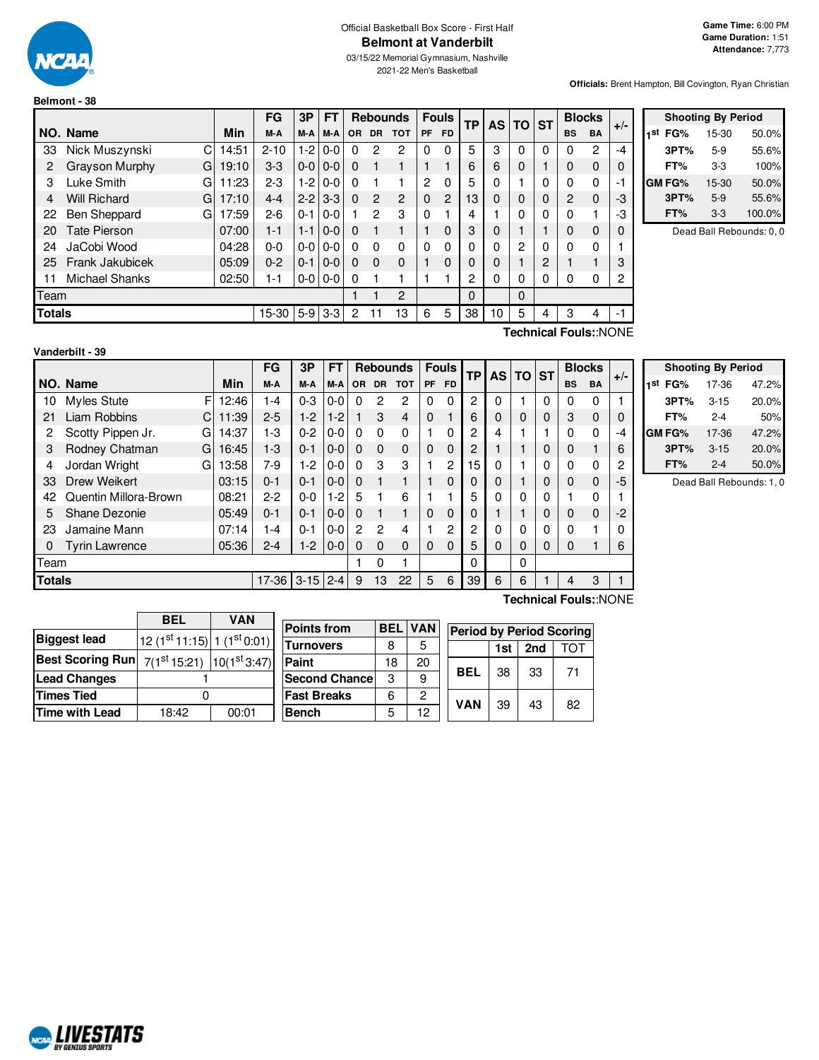

**Belmont - 38**

# Official Basketball Box Score - First Half **Belmont at Vanderbilt**

03/15/22 Memorial Gymnasium, Nashville 2021-22 Men's Basketball

**Officials:** Brent Hampton, Bill Covington, Ryan Christian

|               |                          |       | FG       | 3P      | <b>FT</b>     |           | <b>Rebounds</b> |                | <b>Fouls</b> |                | TP           |          |             |   | AS TO ST  |           | <b>Blocks</b> |  | $+/-$ |
|---------------|--------------------------|-------|----------|---------|---------------|-----------|-----------------|----------------|--------------|----------------|--------------|----------|-------------|---|-----------|-----------|---------------|--|-------|
|               | NO. Name                 | Min   | M-A      | M-A     | M-A           | <b>OR</b> | <b>DR</b>       | <b>TOT</b>     | <b>PF</b>    | <b>FD</b>      |              |          |             |   | <b>BS</b> | <b>BA</b> |               |  |       |
| 33            | С<br>Nick Muszynski      | 14:51 | $2 - 10$ | $1-2$   | $0-0$         | $\Omega$  | 2               | 2              | $\Omega$     | 0              | 5            | 3        | 0           | 0 | 0         | 2         | $-4$          |  |       |
| 2             | Grayson Murphy<br>G      | 19:10 | $3 - 3$  | $0-0$   | $0-0$         | $\Omega$  |                 |                |              |                | 6            | 6        | 0           |   | 0         | 0         | 0             |  |       |
| 3             | Luke Smith<br>G          | 11:23 | $2 - 3$  | $1-2$   | $0-0$         | $\Omega$  |                 |                | 2            | 0              | 5            | $\Omega$ |             | 0 | $\Omega$  | 0         | -1            |  |       |
| 4             | <b>Will Richard</b><br>G | 17:10 | $4 - 4$  | $2 - 2$ | $3-3$         | $\Omega$  | $\overline{c}$  | $\overline{2}$ | $\Omega$     | $\overline{2}$ | 13           | $\Omega$ | $\mathbf 0$ | 0 | 2         | $\Omega$  | -3            |  |       |
| 22            | G<br><b>Ben Sheppard</b> | 17:59 | $2-6$    | $0 - 1$ | $0-0$         |           | $\overline{2}$  | 3              | $\Omega$     |                | 4            |          | 0           | 0 | 0         | ٠         | -3            |  |       |
| 20            | Tate Pierson             | 07:00 | $1 - 1$  | $1 - 1$ | $0-0$         | $\Omega$  |                 | 1              |              | $\mathbf{0}$   | 3            | 0        |             |   | 0         | 0         | 0             |  |       |
| 24            | JaCobi Wood              | 04:28 | $0 - 0$  | $0-0$   | $0-0$         | $\Omega$  | $\Omega$        | $\Omega$       | $\Omega$     | $\Omega$       | $\mathbf{0}$ | 0        | 2           | 0 | 0         | 0         |               |  |       |
| 25            | Frank Jakubicek          | 05:09 | $0 - 2$  | $0 - 1$ | $0-0$         | $\Omega$  | $\Omega$        | $\Omega$       |              | $\mathbf{0}$   | 0            | 0        |             | 2 |           |           | 3             |  |       |
| 11            | Michael Shanks           | 02:50 | 1-1      |         | $0-0$   $0-0$ | $\Omega$  |                 |                |              |                | 2            | 0        | 0           | 0 | 0         | 0         | 2             |  |       |
| Team          |                          |       |          |         |               |           |                 | $\overline{2}$ |              |                | 0            |          | 0           |   |           |           |               |  |       |
| <b>Totals</b> |                          |       | 15-30    |         | $5-9$ 3-3     | 2         | 11              | 13             | 6            | 5              | 38           | 10       | 5           | 4 | 3         | 4         | -1            |  |       |
|               |                          |       |          |         |               |           |                 |                |              |                |              |          |             |   |           |           |               |  |       |

| <b>Shooting By Period</b> |               |       |        |  |  |  |  |  |  |
|---------------------------|---------------|-------|--------|--|--|--|--|--|--|
| 1st                       | FG%           | 15-30 | 50.0%  |  |  |  |  |  |  |
|                           | 3PT%          | $5-9$ | 55.6%  |  |  |  |  |  |  |
|                           | FT%           | $3-3$ | 100%   |  |  |  |  |  |  |
|                           | <b>GM FG%</b> | 15-30 | 50.0%  |  |  |  |  |  |  |
|                           | 3PT%          | $5-9$ | 55.6%  |  |  |  |  |  |  |
|                           | FT%           | $3-3$ | 100.0% |  |  |  |  |  |  |

Dead Ball Rebounds: 0, 0

**Vanderbilt - 39**

 $\mathbf{r}$ 

**Technical Fouls:**:NONE

|               |                          |       | FG      | 3P       | FT      |           | <b>Rebounds</b> |                | <b>Fouls</b> |           | <b>TP</b>      | AS I     | <b>TO</b> | <b>ST</b> | <b>Blocks</b> |             | $+/-$ |
|---------------|--------------------------|-------|---------|----------|---------|-----------|-----------------|----------------|--------------|-----------|----------------|----------|-----------|-----------|---------------|-------------|-------|
|               | NO. Name                 | Min   | M-A     | M-A      | M-A     | <b>OR</b> | <b>DR</b>       | <b>TOT</b>     | <b>PF</b>    | <b>FD</b> |                |          |           |           | <b>BS</b>     | <b>BA</b>   |       |
| 10            | <b>Myles Stute</b><br>FI | 12:46 | 1-4     | $0 - 3$  | 0-0     | $\Omega$  | 2               | 2              | $\Omega$     | $\Omega$  | $\overline{c}$ | $\Omega$ |           | 0         |               | 0           |       |
| 21            | Liam Robbins<br>C        | 11:39 | $2 - 5$ | $1-2$    | $1 - 2$ |           | 3               | $\overline{4}$ | 0            |           | 6              | $\Omega$ | 0         | 0         | 3             | $\mathbf 0$ | 0     |
| 2             | Scotty Pippen Jr.<br>G   | 14:37 | 1-3     | $0 - 2$  | 0-0     | $\Omega$  | 0               | 0              |              | $\Omega$  | 2              | 4        |           |           | 0             | 0           | -4    |
| 3             | Rodney Chatman<br>G      | 16:45 | $1 - 3$ | $0 - 1$  | $0 - 0$ | $\Omega$  | 0               | $\mathbf 0$    | 0            | $\Omega$  | 2              |          |           | 0         | 0             |             | 6     |
| 4             | Jordan Wright<br>G       | 13:58 | 7-9     | $1-2$    | 0-0     | $\Omega$  | 3               | 3              |              | 2         | 15             | $\Omega$ |           | 0         | <sup>0</sup>  | 0           | 2     |
| 33            | Drew Weikert             | 03:15 | $0 - 1$ | $0 - 1$  | $0-0$   | $\Omega$  |                 |                |              | $\Omega$  |                | $\Omega$ |           | 0         | 0             | $\mathbf 0$ | -5    |
| 42            | Quentin Millora-Brown    | 08:21 | $2-2$   | $0-0$    | $1-2$   | 5         |                 | 6              |              |           | 5              | $\Omega$ | 0         | 0         |               | 0           |       |
| 5             | Shane Dezonie            | 05:49 | $0 - 1$ | $0 - 1$  | $0-0$   | $\Omega$  |                 | 1              | 0            | $\Omega$  | 0              |          |           | 0         | 0             | $\mathbf 0$ | -2    |
| 23            | Jamaine Mann             | 07:14 | 1-4     | $0 - 1$  | $0-0$   | 2         | 2               | 4              |              | 2         | 2              | 0        | 0         | 0         |               |             |       |
| $\Omega$      | <b>Tyrin Lawrence</b>    | 05:36 | $2 - 4$ | $1-2$    | $0 - 0$ | $\Omega$  | 0               | $\mathbf 0$    | $\Omega$     | $\Omega$  | 5              | $\Omega$ | 0         | 0         | 0             |             | 6     |
| Team          |                          |       |         |          |         |           | 0               |                |              |           | $\Omega$       |          | 0         |           |               |             |       |
| <b>Totals</b> |                          |       | $17-36$ | $3 - 15$ | $2 - 4$ | 9         | 13              | 22             | 5            | 6         | 39             | 6        | 6         |           | 4             | 3           |       |
|               |                          |       |         |          |         |           |                 |                |              |           |                |          |           |           |               |             |       |

| <b>Shooting By Period</b> |          |       |  |  |  |  |  |  |  |
|---------------------------|----------|-------|--|--|--|--|--|--|--|
| 1st<br>FG%                | 17-36    | 47.2% |  |  |  |  |  |  |  |
| 3PT%                      | $3 - 15$ | 20.0% |  |  |  |  |  |  |  |
| FT%                       | $2 - 4$  | 50%   |  |  |  |  |  |  |  |
| GM FG%                    | 17-36    | 47.2% |  |  |  |  |  |  |  |
| 3PT%                      | $3 - 15$ | 20.0% |  |  |  |  |  |  |  |
| FT%                       | $2 - 4$  | 50.0% |  |  |  |  |  |  |  |

Dead Ball Rebounds: 1, 0

|                                                      | <b>BEL</b>                              | VAN   |                       |            |            |                                 |     |     |     |
|------------------------------------------------------|-----------------------------------------|-------|-----------------------|------------|------------|---------------------------------|-----|-----|-----|
| <b>Biggest lead</b>                                  |                                         |       | <b>Points from</b>    | <b>BEL</b> | <b>VAN</b> | <b>Period by Period Scoring</b> |     |     |     |
|                                                      | $12(1st11:15)$ 1 (1 <sup>st</sup> 0:01) |       | <b>Turnovers</b>      | 8          | 5          |                                 | 1st | 2nd | TOT |
| Best Scoring Run $7(1^{st}15:21)$ $ 10(1^{st}3:47) $ |                                         |       | Paint                 | 18         | 20         |                                 |     |     |     |
| <b>Lead Changes</b>                                  |                                         |       | <b>Second Chancel</b> | 3          | 9          | <b>BEL</b>                      | 38  | 33  | 71  |
| <b>Times Tied</b>                                    |                                         |       | <b>Fast Breaks</b>    | 6          | 2          | <b>VAN</b>                      | 39  | 43  | 82  |
| Time with Lead                                       | 18:42                                   | 00:01 | <b>IBench</b>         | 5          | 12         |                                 |     |     |     |
|                                                      |                                         |       |                       |            |            |                                 |     |     |     |

 $\overline{\phantom{0}}$ 

**Technical Fouls:**:NONE

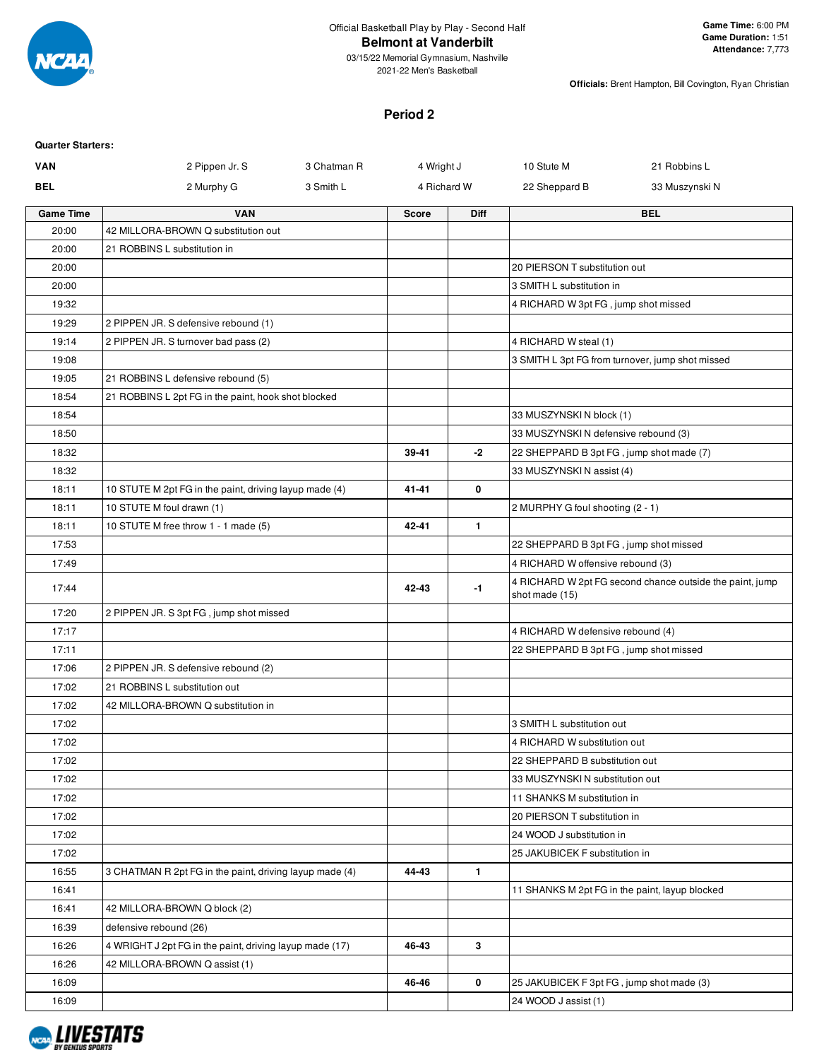

2021-22 Men's Basketball

**Officials:** Brent Hampton, Bill Covington, Ryan Christian

### **Period 2**

| <b>Quarter Starters:</b>                           |                                                         |             |              |              |                                                                                                                                                               |                                                          |
|----------------------------------------------------|---------------------------------------------------------|-------------|--------------|--------------|---------------------------------------------------------------------------------------------------------------------------------------------------------------|----------------------------------------------------------|
| VAN                                                | 2 Pippen Jr. S                                          | 3 Chatman R | 4 Wright J   |              | 10 Stute M                                                                                                                                                    | 21 Robbins L                                             |
| <b>BEL</b>                                         | 2 Murphy G                                              | 3 Smith L   |              | 4 Richard W  | 22 Sheppard B                                                                                                                                                 | 33 Muszynski N                                           |
| <b>Game Time</b>                                   | <b>VAN</b>                                              |             | <b>Score</b> | <b>Diff</b>  |                                                                                                                                                               | <b>BEL</b>                                               |
| 20:00                                              | 42 MILLORA-BROWN Q substitution out                     |             |              |              |                                                                                                                                                               |                                                          |
| 20:00                                              | 21 ROBBINS L substitution in                            |             |              |              |                                                                                                                                                               |                                                          |
| 20:00                                              |                                                         |             |              |              | 20 PIERSON T substitution out                                                                                                                                 |                                                          |
| 20:00                                              |                                                         |             |              |              | 3 SMITH L substitution in                                                                                                                                     |                                                          |
| 19:32                                              |                                                         |             |              |              | 4 RICHARD W 3pt FG, jump shot missed                                                                                                                          |                                                          |
| 19:29                                              | 2 PIPPEN JR. S defensive rebound (1)                    |             |              |              |                                                                                                                                                               |                                                          |
| 19:14                                              | 2 PIPPEN JR. S turnover bad pass (2)                    |             |              |              | 4 RICHARD W steal (1)                                                                                                                                         |                                                          |
| 19:08                                              |                                                         |             |              |              |                                                                                                                                                               | 3 SMITH L 3pt FG from turnover, jump shot missed         |
| 19:05                                              | 21 ROBBINS L defensive rebound (5)                      |             |              |              |                                                                                                                                                               |                                                          |
| 18:54                                              | 21 ROBBINS L 2pt FG in the paint, hook shot blocked     |             |              |              |                                                                                                                                                               |                                                          |
| 18:54                                              |                                                         |             |              |              | 33 MUSZYNSKI N block (1)                                                                                                                                      |                                                          |
| 18:50                                              |                                                         |             |              |              | 33 MUSZYNSKIN defensive rebound (3)                                                                                                                           |                                                          |
| 18:32                                              |                                                         |             | 39-41        | -2           | 22 SHEPPARD B 3pt FG, jump shot made (7)                                                                                                                      |                                                          |
| 18:32                                              |                                                         |             |              |              | 33 MUSZYNSKI N assist (4)                                                                                                                                     |                                                          |
| 18:11                                              | 10 STUTE M 2pt FG in the paint, driving layup made (4)  |             | 41-41        | 0            |                                                                                                                                                               |                                                          |
| 18:11                                              | 10 STUTE M foul drawn (1)                               |             |              |              | 2 MURPHY G foul shooting (2 - 1)                                                                                                                              |                                                          |
| 18:11                                              | 10 STUTE M free throw 1 - 1 made (5)                    |             | 42-41        | $\mathbf{1}$ |                                                                                                                                                               |                                                          |
| 17:53                                              |                                                         |             |              |              | 22 SHEPPARD B 3pt FG, jump shot missed                                                                                                                        |                                                          |
| 17:49                                              |                                                         |             |              |              | 4 RICHARD W offensive rebound (3)                                                                                                                             |                                                          |
| 17:44                                              |                                                         |             | 42-43        | $-1$         | shot made (15)                                                                                                                                                | 4 RICHARD W 2pt FG second chance outside the paint, jump |
| 17:20                                              | 2 PIPPEN JR. S 3pt FG, jump shot missed                 |             |              |              |                                                                                                                                                               |                                                          |
| 17:17                                              |                                                         |             |              |              | 4 RICHARD W defensive rebound (4)                                                                                                                             |                                                          |
| 17:11                                              |                                                         |             |              |              | 22 SHEPPARD B 3pt FG, jump shot missed                                                                                                                        |                                                          |
| 17:06                                              | 2 PIPPEN JR. S defensive rebound (2)                    |             |              |              |                                                                                                                                                               |                                                          |
| 17:02<br>17:02                                     | 21 ROBBINS L substitution out                           |             |              |              |                                                                                                                                                               |                                                          |
| 17:02                                              | 42 MILLORA-BROWN Q substitution in                      |             |              |              | 3 SMITH L substitution out                                                                                                                                    |                                                          |
| 17:02                                              |                                                         |             |              |              | 4 RICHARD W substitution out                                                                                                                                  |                                                          |
| 17:02                                              |                                                         |             |              |              | 22 SHEPPARD B substitution out                                                                                                                                |                                                          |
|                                                    |                                                         |             |              |              |                                                                                                                                                               |                                                          |
|                                                    |                                                         |             |              |              |                                                                                                                                                               |                                                          |
|                                                    |                                                         |             |              |              |                                                                                                                                                               |                                                          |
|                                                    |                                                         |             |              |              |                                                                                                                                                               |                                                          |
|                                                    |                                                         |             |              |              |                                                                                                                                                               |                                                          |
|                                                    |                                                         |             |              |              |                                                                                                                                                               |                                                          |
| 16:41                                              |                                                         |             |              |              | 11 SHANKS M 2pt FG in the paint, layup blocked                                                                                                                |                                                          |
| 16:41                                              | 42 MILLORA-BROWN Q block (2)                            |             |              |              |                                                                                                                                                               |                                                          |
| 16:39                                              | defensive rebound (26)                                  |             |              |              |                                                                                                                                                               |                                                          |
| 16:26                                              | 4 WRIGHT J 2pt FG in the paint, driving layup made (17) |             | 46-43        | 3            |                                                                                                                                                               |                                                          |
| 16:26                                              | 42 MILLORA-BROWN Q assist (1)                           |             |              |              |                                                                                                                                                               |                                                          |
| 16:09                                              |                                                         |             | 46-46        | 0            | 25 JAKUBICEK F 3pt FG, jump shot made (3)                                                                                                                     |                                                          |
| 16:09                                              |                                                         |             |              |              | 24 WOOD J assist (1)                                                                                                                                          |                                                          |
| 17:02<br>17:02<br>17:02<br>17:02<br>17:02<br>16:55 | 3 CHATMAN R 2pt FG in the paint, driving layup made (4) |             | 44-43        | $\mathbf{1}$ | 33 MUSZYNSKI N substitution out<br>11 SHANKS M substitution in<br>20 PIERSON T substitution in<br>24 WOOD J substitution in<br>25 JAKUBICEK F substitution in |                                                          |

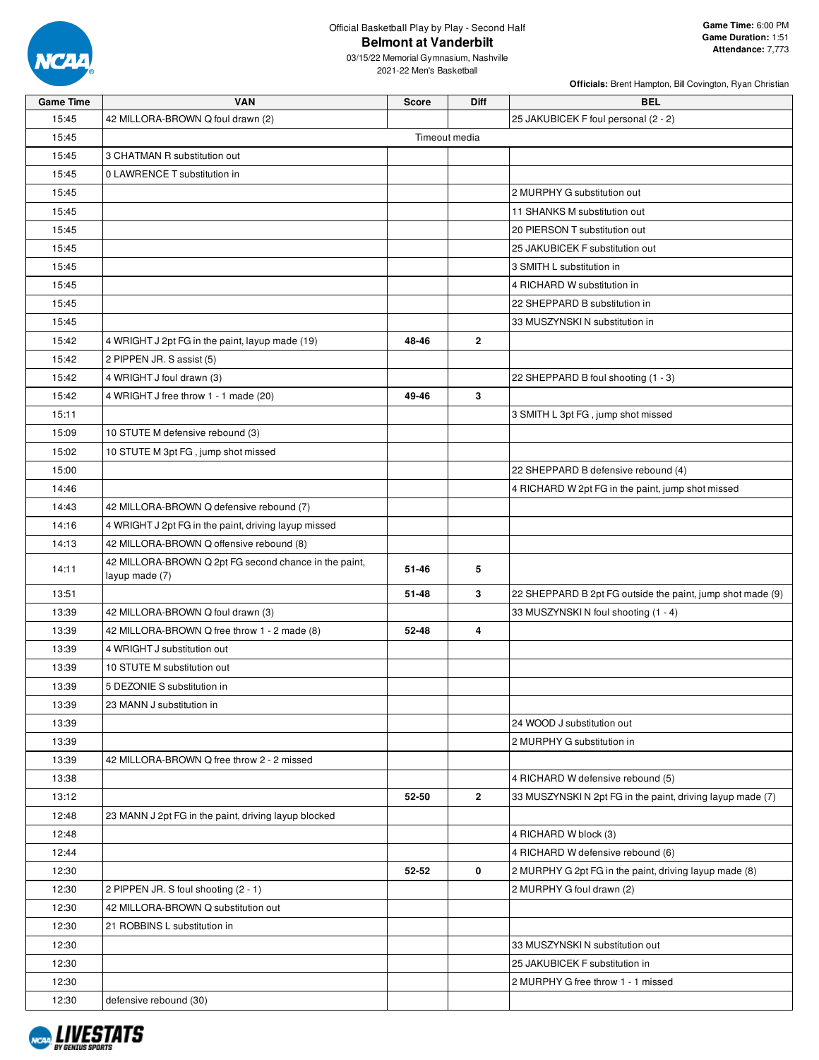

03/15/22 Memorial Gymnasium, Nashville 2021-22 Men's Basketball

| <b>Game Time</b> | <b>VAN</b>                                                              | <b>Score</b> | <b>Diff</b>    | <b>BEL</b>                                                 |
|------------------|-------------------------------------------------------------------------|--------------|----------------|------------------------------------------------------------|
| 15:45            | 42 MILLORA-BROWN Q foul drawn (2)                                       |              |                | 25 JAKUBICEK F foul personal (2 - 2)                       |
| 15:45            |                                                                         |              | Timeout media  |                                                            |
| 15:45            | 3 CHATMAN R substitution out                                            |              |                |                                                            |
| 15:45            | 0 LAWRENCE T substitution in                                            |              |                |                                                            |
| 15:45            |                                                                         |              |                | 2 MURPHY G substitution out                                |
| 15:45            |                                                                         |              |                | 11 SHANKS M substitution out                               |
| 15:45            |                                                                         |              |                | 20 PIERSON T substitution out                              |
| 15:45            |                                                                         |              |                | 25 JAKUBICEK F substitution out                            |
| 15:45            |                                                                         |              |                | 3 SMITH L substitution in                                  |
| 15:45            |                                                                         |              |                | 4 RICHARD W substitution in                                |
| 15:45            |                                                                         |              |                | 22 SHEPPARD B substitution in                              |
| 15:45            |                                                                         |              |                | 33 MUSZYNSKI N substitution in                             |
| 15:42            | 4 WRIGHT J 2pt FG in the paint, layup made (19)                         | 48-46        | $\overline{2}$ |                                                            |
| 15:42            | 2 PIPPEN JR. S assist (5)                                               |              |                |                                                            |
| 15:42            | 4 WRIGHT J foul drawn (3)                                               |              |                | 22 SHEPPARD B foul shooting (1 - 3)                        |
| 15:42            | 4 WRIGHT J free throw 1 - 1 made (20)                                   | 49-46        | 3              |                                                            |
| 15:11            |                                                                         |              |                | 3 SMITH L 3pt FG, jump shot missed                         |
| 15:09            | 10 STUTE M defensive rebound (3)                                        |              |                |                                                            |
| 15:02            | 10 STUTE M 3pt FG, jump shot missed                                     |              |                |                                                            |
| 15:00            |                                                                         |              |                | 22 SHEPPARD B defensive rebound (4)                        |
| 14:46            |                                                                         |              |                | 4 RICHARD W 2pt FG in the paint, jump shot missed          |
| 14:43            | 42 MILLORA-BROWN Q defensive rebound (7)                                |              |                |                                                            |
| 14:16            | 4 WRIGHT J 2pt FG in the paint, driving layup missed                    |              |                |                                                            |
| 14:13            | 42 MILLORA-BROWN Q offensive rebound (8)                                |              |                |                                                            |
| 14:11            | 42 MILLORA-BROWN Q 2pt FG second chance in the paint,<br>layup made (7) | 51-46        | 5              |                                                            |
| 13:51            |                                                                         | 51-48        | 3              | 22 SHEPPARD B 2pt FG outside the paint, jump shot made (9) |
| 13:39            | 42 MILLORA-BROWN Q foul drawn (3)                                       |              |                | 33 MUSZYNSKI N foul shooting (1 - 4)                       |
| 13:39            | 42 MILLORA-BROWN Q free throw 1 - 2 made (8)                            | 52-48        | $\overline{4}$ |                                                            |
| 13:39            | 4 WRIGHT J substitution out                                             |              |                |                                                            |
| 13:39            | 10 STUTE M substitution out                                             |              |                |                                                            |
| 13:39            | 5 DEZONIE S substitution in                                             |              |                |                                                            |
| 13:39            | 23 MANN J substitution in                                               |              |                |                                                            |
| 13:39            |                                                                         |              |                | 24 WOOD J substitution out                                 |
| 13:39            |                                                                         |              |                | 2 MURPHY G substitution in                                 |
| 13:39            | 42 MILLORA-BROWN Q free throw 2 - 2 missed                              |              |                |                                                            |
| 13:38            |                                                                         |              |                | 4 RICHARD W defensive rebound (5)                          |
| 13:12            |                                                                         | 52-50        | $\mathbf{2}$   | 33 MUSZYNSKI N 2pt FG in the paint, driving layup made (7) |
| 12:48            | 23 MANN J 2pt FG in the paint, driving layup blocked                    |              |                |                                                            |
| 12:48            |                                                                         |              |                | 4 RICHARD W block (3)                                      |
| 12:44            |                                                                         |              |                | 4 RICHARD W defensive rebound (6)                          |
| 12:30            |                                                                         | 52-52        | 0              | 2 MURPHY G 2pt FG in the paint, driving layup made (8)     |
| 12:30            | 2 PIPPEN JR. S foul shooting (2 - 1)                                    |              |                | 2 MURPHY G foul drawn (2)                                  |
| 12:30            | 42 MILLORA-BROWN Q substitution out                                     |              |                |                                                            |
| 12:30            | 21 ROBBINS L substitution in                                            |              |                |                                                            |
| 12:30            |                                                                         |              |                | 33 MUSZYNSKI N substitution out                            |
| 12:30            |                                                                         |              |                | 25 JAKUBICEK F substitution in                             |
| 12:30            |                                                                         |              |                | 2 MURPHY G free throw 1 - 1 missed                         |
| 12:30            | defensive rebound (30)                                                  |              |                |                                                            |

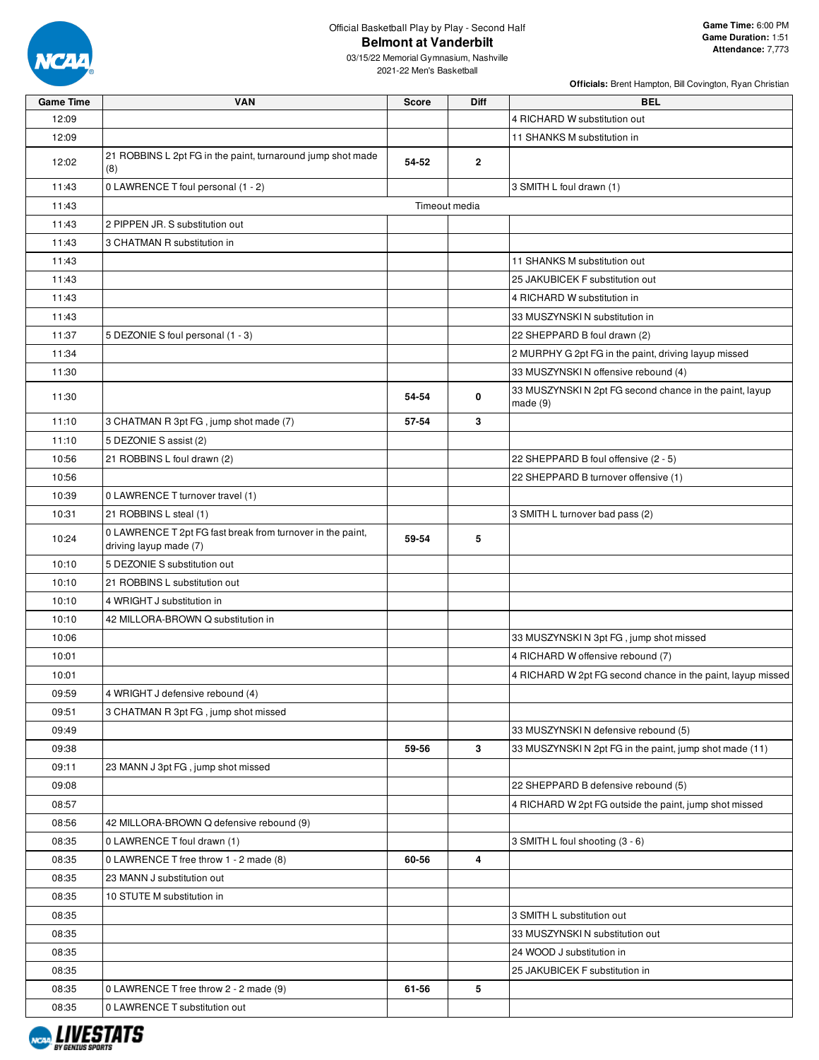

| <b>Game Time</b> | <b>VAN</b>                                                                           | <b>Score</b> | <b>Diff</b>   | <b>BEL</b>                                                         |
|------------------|--------------------------------------------------------------------------------------|--------------|---------------|--------------------------------------------------------------------|
| 12:09            |                                                                                      |              |               | 4 RICHARD W substitution out                                       |
| 12:09            |                                                                                      |              |               | 11 SHANKS M substitution in                                        |
| 12:02            | 21 ROBBINS L 2pt FG in the paint, turnaround jump shot made<br>(8)                   | 54-52        | $\mathbf{2}$  |                                                                    |
| 11:43            | 0 LAWRENCE T foul personal (1 - 2)                                                   |              |               | 3 SMITH L foul drawn (1)                                           |
| 11:43            |                                                                                      |              | Timeout media |                                                                    |
| 11:43            | 2 PIPPEN JR. S substitution out                                                      |              |               |                                                                    |
| 11:43            | 3 CHATMAN R substitution in                                                          |              |               |                                                                    |
| 11:43            |                                                                                      |              |               | 11 SHANKS M substitution out                                       |
| 11:43            |                                                                                      |              |               | 25 JAKUBICEK F substitution out                                    |
| 11:43            |                                                                                      |              |               | 4 RICHARD W substitution in                                        |
| 11:43            |                                                                                      |              |               | 33 MUSZYNSKI N substitution in                                     |
| 11:37            | 5 DEZONIE S foul personal (1 - 3)                                                    |              |               | 22 SHEPPARD B foul drawn (2)                                       |
| 11:34            |                                                                                      |              |               | 2 MURPHY G 2pt FG in the paint, driving layup missed               |
| 11:30            |                                                                                      |              |               | 33 MUSZYNSKI N offensive rebound (4)                               |
| 11:30            |                                                                                      | 54-54        | 0             | 33 MUSZYNSKI N 2pt FG second chance in the paint, layup<br>made(9) |
| 11:10            | 3 CHATMAN R 3pt FG, jump shot made (7)                                               | 57-54        | 3             |                                                                    |
| 11:10            | 5 DEZONIE S assist (2)                                                               |              |               |                                                                    |
| 10:56            | 21 ROBBINS L foul drawn (2)                                                          |              |               | 22 SHEPPARD B foul offensive (2 - 5)                               |
| 10:56            |                                                                                      |              |               | 22 SHEPPARD B turnover offensive (1)                               |
| 10:39            | 0 LAWRENCE T turnover travel (1)                                                     |              |               |                                                                    |
| 10:31            | 21 ROBBINS L steal (1)                                                               |              |               | 3 SMITH L turnover bad pass (2)                                    |
| 10:24            | 0 LAWRENCE T 2pt FG fast break from turnover in the paint,<br>driving layup made (7) | 59-54        | 5             |                                                                    |
| 10:10            | 5 DEZONIE S substitution out                                                         |              |               |                                                                    |
| 10:10            | 21 ROBBINS L substitution out                                                        |              |               |                                                                    |
| 10:10            | 4 WRIGHT J substitution in                                                           |              |               |                                                                    |
| 10:10            | 42 MILLORA-BROWN Q substitution in                                                   |              |               |                                                                    |
| 10:06            |                                                                                      |              |               | 33 MUSZYNSKI N 3pt FG, jump shot missed                            |
| 10:01            |                                                                                      |              |               | 4 RICHARD W offensive rebound (7)                                  |
| 10:01            |                                                                                      |              |               | 4 RICHARD W 2pt FG second chance in the paint, layup missed        |
| 09:59            | 4 WRIGHT J defensive rebound (4)                                                     |              |               |                                                                    |
| 09:51            | 3 CHATMAN R 3pt FG, jump shot missed                                                 |              |               |                                                                    |
| 09:49            |                                                                                      |              |               | 33 MUSZYNSKI N defensive rebound (5)                               |
| 09:38            |                                                                                      | 59-56        | 3             | 33 MUSZYNSKIN 2pt FG in the paint, jump shot made (11)             |
| 09:11            | 23 MANN J 3pt FG, jump shot missed                                                   |              |               |                                                                    |
| 09:08            |                                                                                      |              |               | 22 SHEPPARD B defensive rebound (5)                                |
| 08:57            |                                                                                      |              |               | 4 RICHARD W 2pt FG outside the paint, jump shot missed             |
| 08:56            | 42 MILLORA-BROWN Q defensive rebound (9)                                             |              |               |                                                                    |
| 08:35            | 0 LAWRENCE T foul drawn (1)                                                          |              |               | 3 SMITH L foul shooting (3 - 6)                                    |
| 08:35            | 0 LAWRENCE T free throw 1 - 2 made (8)                                               | 60-56        | 4             |                                                                    |
| 08:35            | 23 MANN J substitution out                                                           |              |               |                                                                    |
| 08:35            | 10 STUTE M substitution in                                                           |              |               |                                                                    |
| 08:35            |                                                                                      |              |               | 3 SMITH L substitution out                                         |
| 08:35            |                                                                                      |              |               | 33 MUSZYNSKI N substitution out                                    |
| 08:35            |                                                                                      |              |               | 24 WOOD J substitution in                                          |
| 08:35            |                                                                                      |              |               | 25 JAKUBICEK F substitution in                                     |
| 08:35            | 0 LAWRENCE T free throw 2 - 2 made (9)                                               | 61-56        | 5             |                                                                    |
| 08:35            | 0 LAWRENCE T substitution out                                                        |              |               |                                                                    |

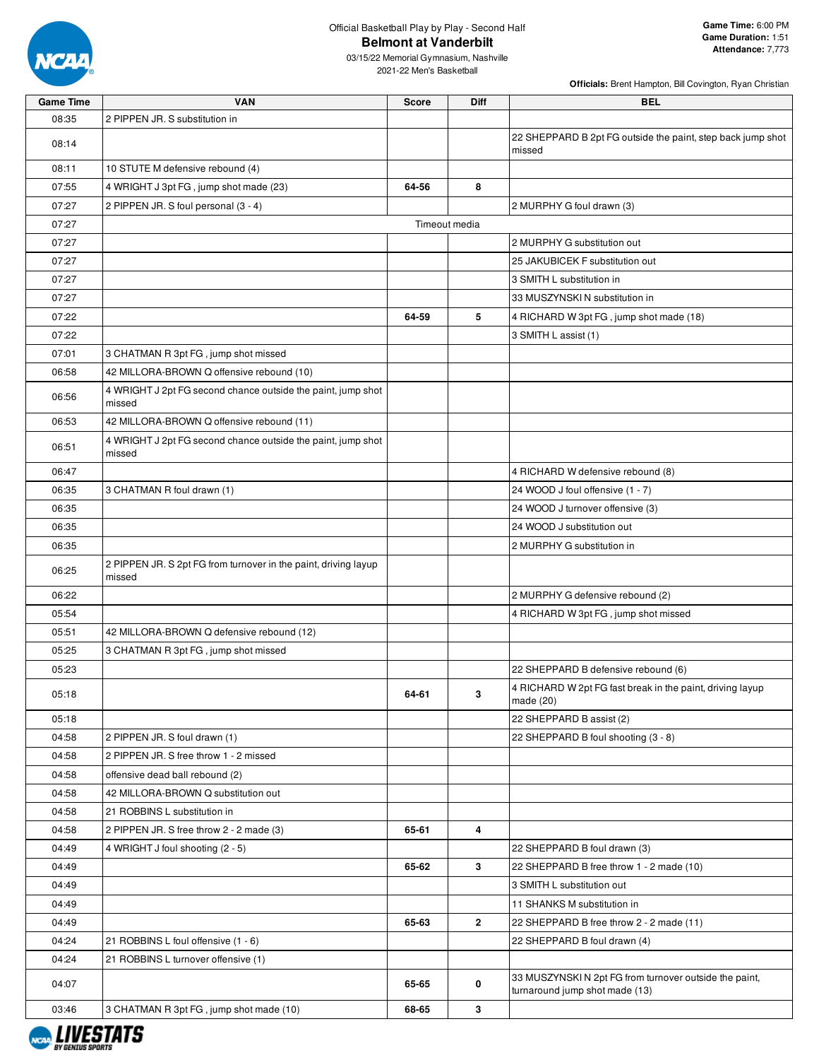

03/15/22 Memorial Gymnasium, Nashville 2021-22 Men's Basketball

| <b>Game Time</b> | <b>VAN</b>                                                                | <b>Score</b>  | Diff           | <b>BEL</b>                                                                               |
|------------------|---------------------------------------------------------------------------|---------------|----------------|------------------------------------------------------------------------------------------|
| 08:35            | 2 PIPPEN JR. S substitution in                                            |               |                |                                                                                          |
| 08:14            |                                                                           |               |                | 22 SHEPPARD B 2pt FG outside the paint, step back jump shot<br>missed                    |
| 08:11            | 10 STUTE M defensive rebound (4)                                          |               |                |                                                                                          |
| 07:55            | 4 WRIGHT J 3pt FG, jump shot made (23)                                    | 64-56         | 8              |                                                                                          |
| 07:27            | 2 PIPPEN JR. S foul personal (3 - 4)                                      |               |                | 2 MURPHY G foul drawn (3)                                                                |
| 07:27            |                                                                           | Timeout media |                |                                                                                          |
| 07:27            |                                                                           |               |                | 2 MURPHY G substitution out                                                              |
| 07:27            |                                                                           |               |                | 25 JAKUBICEK F substitution out                                                          |
| 07:27            |                                                                           |               |                | 3 SMITH L substitution in                                                                |
| 07:27            |                                                                           |               |                | 33 MUSZYNSKI N substitution in                                                           |
| 07:22            |                                                                           | 64-59         | 5              | 4 RICHARD W 3pt FG, jump shot made (18)                                                  |
| 07:22            |                                                                           |               |                | 3 SMITH L assist (1)                                                                     |
| 07:01            | 3 CHATMAN R 3pt FG, jump shot missed                                      |               |                |                                                                                          |
| 06:58            | 42 MILLORA-BROWN Q offensive rebound (10)                                 |               |                |                                                                                          |
| 06:56            | 4 WRIGHT J 2pt FG second chance outside the paint, jump shot<br>missed    |               |                |                                                                                          |
| 06:53            | 42 MILLORA-BROWN Q offensive rebound (11)                                 |               |                |                                                                                          |
| 06:51            | 4 WRIGHT J 2pt FG second chance outside the paint, jump shot<br>missed    |               |                |                                                                                          |
| 06:47            |                                                                           |               |                | 4 RICHARD W defensive rebound (8)                                                        |
| 06:35            | 3 CHATMAN R foul drawn (1)                                                |               |                | 24 WOOD J foul offensive (1 - 7)                                                         |
| 06:35            |                                                                           |               |                | 24 WOOD J turnover offensive (3)                                                         |
| 06:35            |                                                                           |               |                | 24 WOOD J substitution out                                                               |
| 06:35            |                                                                           |               |                | 2 MURPHY G substitution in                                                               |
| 06:25            | 2 PIPPEN JR. S 2pt FG from turnover in the paint, driving layup<br>missed |               |                |                                                                                          |
| 06:22            |                                                                           |               |                | 2 MURPHY G defensive rebound (2)                                                         |
| 05:54            |                                                                           |               |                | 4 RICHARD W 3pt FG, jump shot missed                                                     |
| 05:51            | 42 MILLORA-BROWN Q defensive rebound (12)                                 |               |                |                                                                                          |
| 05:25            | 3 CHATMAN R 3pt FG, jump shot missed                                      |               |                |                                                                                          |
| 05:23            |                                                                           |               |                | 22 SHEPPARD B defensive rebound (6)                                                      |
| 05:18            |                                                                           | 64-61         | 3              | 4 RICHARD W 2pt FG fast break in the paint, driving layup<br>made $(20)$                 |
| 05:18            |                                                                           |               |                | 22 SHEPPARD B assist (2)                                                                 |
| 04:58            | 2 PIPPEN JR. S foul drawn (1)                                             |               |                | 22 SHEPPARD B foul shooting (3 - 8)                                                      |
| 04:58            | 2 PIPPEN JR. S free throw 1 - 2 missed                                    |               |                |                                                                                          |
| 04:58            | offensive dead ball rebound (2)                                           |               |                |                                                                                          |
| 04:58            | 42 MILLORA-BROWN Q substitution out                                       |               |                |                                                                                          |
| 04:58            | 21 ROBBINS L substitution in                                              |               |                |                                                                                          |
| 04:58            | 2 PIPPEN JR. S free throw 2 - 2 made (3)                                  | 65-61         | 4              |                                                                                          |
| 04:49            | 4 WRIGHT J foul shooting (2 - 5)                                          |               |                | 22 SHEPPARD B foul drawn (3)                                                             |
| 04:49            |                                                                           | 65-62         | 3              | 22 SHEPPARD B free throw 1 - 2 made (10)                                                 |
| 04:49            |                                                                           |               |                | 3 SMITH L substitution out                                                               |
| 04:49            |                                                                           |               |                | 11 SHANKS M substitution in                                                              |
| 04:49            |                                                                           | 65-63         | $\overline{2}$ | 22 SHEPPARD B free throw 2 - 2 made (11)                                                 |
| 04:24            | 21 ROBBINS L foul offensive (1 - 6)                                       |               |                | 22 SHEPPARD B foul drawn (4)                                                             |
| 04:24            | 21 ROBBINS L turnover offensive (1)                                       |               |                |                                                                                          |
| 04:07            |                                                                           | 65-65         | 0              | 33 MUSZYNSKI N 2pt FG from turnover outside the paint,<br>turnaround jump shot made (13) |
| 03:46            | 3 CHATMAN R 3pt FG, jump shot made (10)                                   | 68-65         | 3              |                                                                                          |

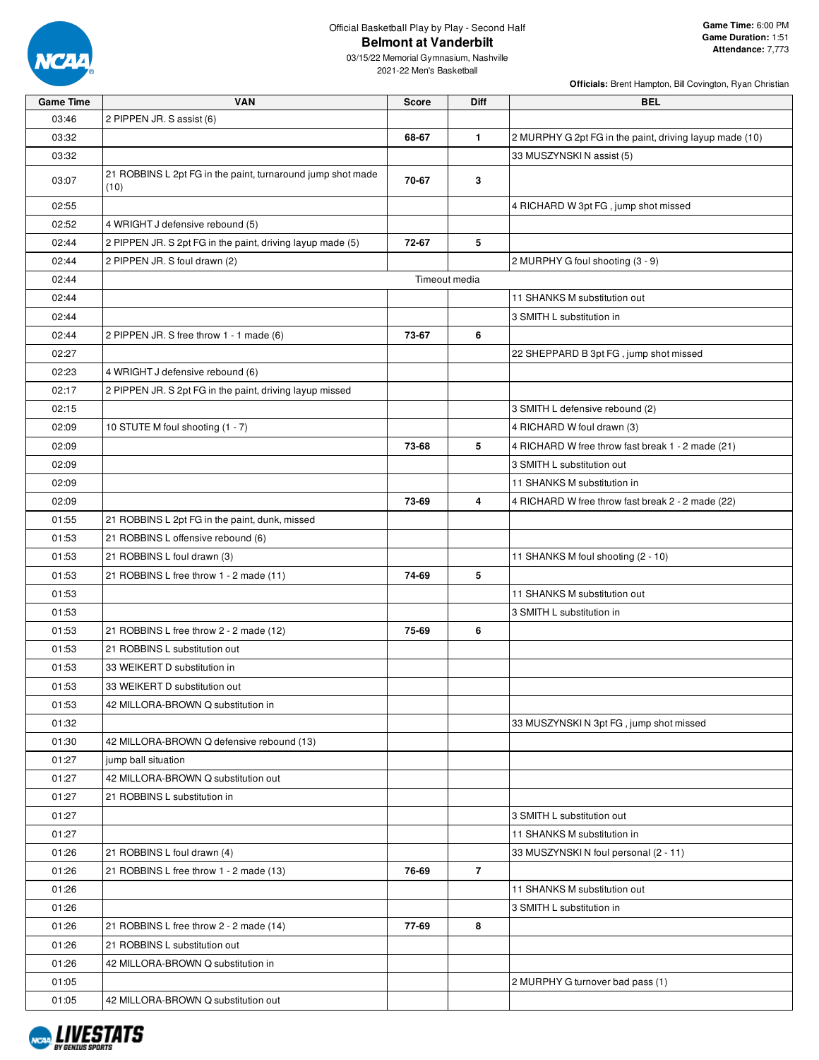

| <b>Game Time</b> | <b>VAN</b>                                                          | <b>Score</b> | Diff           | <b>BEL</b>                                              |
|------------------|---------------------------------------------------------------------|--------------|----------------|---------------------------------------------------------|
| 03:46            | 2 PIPPEN JR. S assist (6)                                           |              |                |                                                         |
| 03:32            |                                                                     | 68-67        | $\mathbf{1}$   | 2 MURPHY G 2pt FG in the paint, driving layup made (10) |
| 03:32            |                                                                     |              |                | 33 MUSZYNSKI N assist (5)                               |
| 03:07            | 21 ROBBINS L 2pt FG in the paint, turnaround jump shot made<br>(10) | 70-67        | 3              |                                                         |
| 02:55            |                                                                     |              |                | 4 RICHARD W 3pt FG, jump shot missed                    |
| 02:52            | 4 WRIGHT J defensive rebound (5)                                    |              |                |                                                         |
| 02:44            | 2 PIPPEN JR. S 2pt FG in the paint, driving layup made (5)          | 72-67        | 5              |                                                         |
| 02:44            | 2 PIPPEN JR. S foul drawn (2)                                       |              |                | 2 MURPHY G foul shooting (3 - 9)                        |
| 02:44            |                                                                     |              | Timeout media  |                                                         |
| 02:44            |                                                                     |              |                | 11 SHANKS M substitution out                            |
| 02:44            |                                                                     |              |                | 3 SMITH L substitution in                               |
| 02:44            | 2 PIPPEN JR. S free throw 1 - 1 made (6)                            | 73-67        | 6              |                                                         |
| 02:27            |                                                                     |              |                | 22 SHEPPARD B 3pt FG, jump shot missed                  |
| 02:23            | 4 WRIGHT J defensive rebound (6)                                    |              |                |                                                         |
| 02:17            | 2 PIPPEN JR. S 2pt FG in the paint, driving layup missed            |              |                |                                                         |
| 02:15            |                                                                     |              |                | 3 SMITH L defensive rebound (2)                         |
| 02:09            | 10 STUTE M foul shooting (1 - 7)                                    |              |                | 4 RICHARD W foul drawn (3)                              |
| 02:09            |                                                                     | 73-68        | 5              | 4 RICHARD W free throw fast break 1 - 2 made (21)       |
| 02:09            |                                                                     |              |                | 3 SMITH L substitution out                              |
| 02:09            |                                                                     |              |                | 11 SHANKS M substitution in                             |
| 02:09            |                                                                     | 73-69        | 4              | 4 RICHARD W free throw fast break 2 - 2 made (22)       |
| 01:55            | 21 ROBBINS L 2pt FG in the paint, dunk, missed                      |              |                |                                                         |
| 01:53            | 21 ROBBINS L offensive rebound (6)                                  |              |                |                                                         |
| 01:53            | 21 ROBBINS L foul drawn (3)                                         |              |                | 11 SHANKS M foul shooting (2 - 10)                      |
| 01:53            | 21 ROBBINS L free throw 1 - 2 made (11)                             | 74-69        | 5              |                                                         |
| 01:53            |                                                                     |              |                | 11 SHANKS M substitution out                            |
| 01:53            |                                                                     |              |                | 3 SMITH L substitution in                               |
| 01:53            | 21 ROBBINS L free throw 2 - 2 made (12)                             | 75-69        | 6              |                                                         |
| 01:53            | 21 ROBBINS L substitution out                                       |              |                |                                                         |
| 01:53            | 33 WEIKERT D substitution in                                        |              |                |                                                         |
| 01:53            | 33 WEIKERT D substitution out                                       |              |                |                                                         |
| 01:53            | 42 MILLORA-BROWN Q substitution in                                  |              |                |                                                         |
| 01:32            |                                                                     |              |                | 33 MUSZYNSKI N 3pt FG, jump shot missed                 |
| 01:30            | 42 MILLORA-BROWN Q defensive rebound (13)                           |              |                |                                                         |
| 01:27            | jump ball situation                                                 |              |                |                                                         |
| 01:27            | 42 MILLORA-BROWN Q substitution out                                 |              |                |                                                         |
| 01:27            | 21 ROBBINS L substitution in                                        |              |                |                                                         |
| 01:27            |                                                                     |              |                | 3 SMITH L substitution out                              |
| 01:27            |                                                                     |              |                | 11 SHANKS M substitution in                             |
| 01:26            | 21 ROBBINS L foul drawn (4)                                         |              |                | 33 MUSZYNSKIN foul personal (2 - 11)                    |
| 01:26            | 21 ROBBINS L free throw 1 - 2 made (13)                             | 76-69        | $\overline{7}$ |                                                         |
| 01:26            |                                                                     |              |                | 11 SHANKS M substitution out                            |
| 01:26            |                                                                     |              |                | 3 SMITH L substitution in                               |
| 01:26            | 21 ROBBINS L free throw 2 - 2 made (14)                             | 77-69        | 8              |                                                         |
| 01:26            | 21 ROBBINS L substitution out                                       |              |                |                                                         |
| 01:26            | 42 MILLORA-BROWN Q substitution in                                  |              |                |                                                         |
| 01:05            |                                                                     |              |                | 2 MURPHY G turnover bad pass (1)                        |
| 01:05            | 42 MILLORA-BROWN Q substitution out                                 |              |                |                                                         |

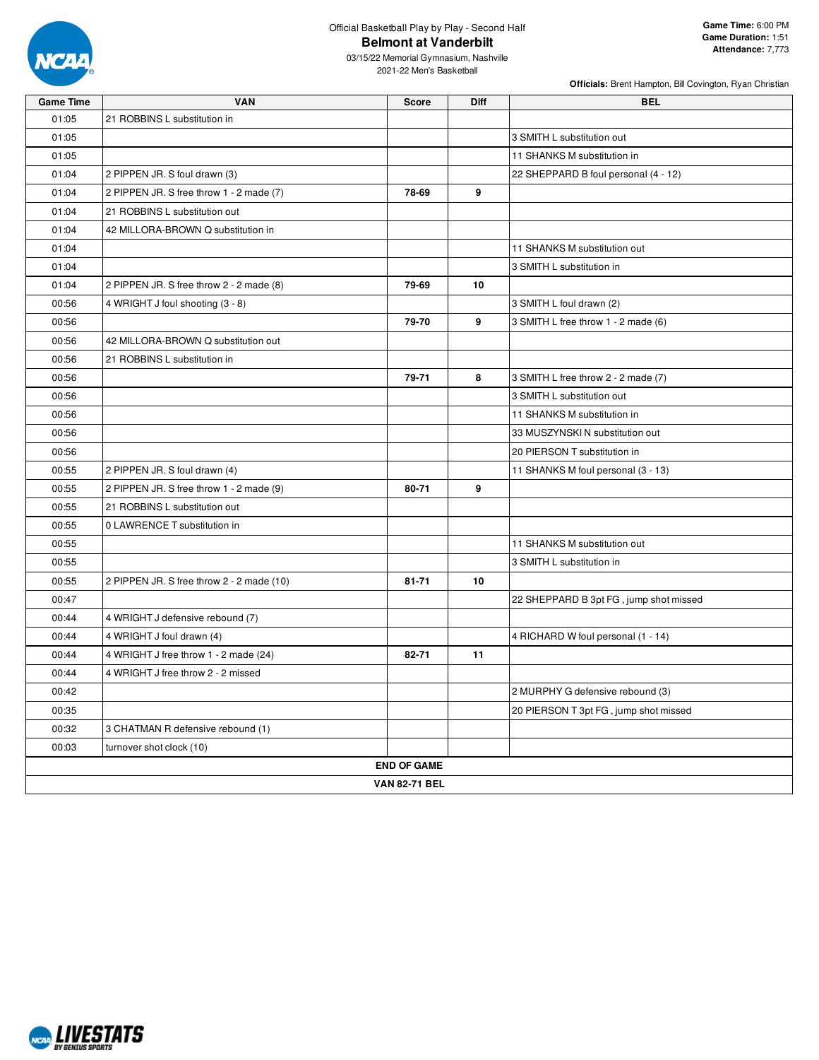

03/15/22 Memorial Gymnasium, Nashville 2021-22 Men's Basketball

| <b>Game Time</b> | <b>VAN</b>                                | Score                | <b>Diff</b> | <b>BEL</b>                             |
|------------------|-------------------------------------------|----------------------|-------------|----------------------------------------|
| 01:05            | 21 ROBBINS L substitution in              |                      |             |                                        |
| 01:05            |                                           |                      |             | 3 SMITH L substitution out             |
| 01:05            |                                           |                      |             | 11 SHANKS M substitution in            |
| 01:04            | 2 PIPPEN JR. S foul drawn (3)             |                      |             | 22 SHEPPARD B foul personal (4 - 12)   |
| 01:04            | 2 PIPPEN JR. S free throw 1 - 2 made (7)  | 78-69                | 9           |                                        |
| 01:04            | 21 ROBBINS L substitution out             |                      |             |                                        |
| 01:04            | 42 MILLORA-BROWN Q substitution in        |                      |             |                                        |
| 01:04            |                                           |                      |             | 11 SHANKS M substitution out           |
| 01:04            |                                           |                      |             | 3 SMITH L substitution in              |
| 01:04            | 2 PIPPEN JR. S free throw 2 - 2 made (8)  | 79-69                | 10          |                                        |
| 00:56            | 4 WRIGHT J foul shooting (3 - 8)          |                      |             | 3 SMITH L foul drawn (2)               |
| 00:56            |                                           | 79-70                | 9           | 3 SMITH L free throw 1 - 2 made (6)    |
| 00:56            | 42 MILLORA-BROWN Q substitution out       |                      |             |                                        |
| 00:56            | 21 ROBBINS L substitution in              |                      |             |                                        |
| 00:56            |                                           | 79-71                | 8           | 3 SMITH L free throw 2 - 2 made (7)    |
| 00:56            |                                           |                      |             | 3 SMITH L substitution out             |
| 00:56            |                                           |                      |             | 11 SHANKS M substitution in            |
| 00:56            |                                           |                      |             | 33 MUSZYNSKI N substitution out        |
| 00:56            |                                           |                      |             | 20 PIERSON T substitution in           |
| 00:55            | 2 PIPPEN JR. S foul drawn (4)             |                      |             | 11 SHANKS M foul personal (3 - 13)     |
| 00:55            | 2 PIPPEN JR. S free throw 1 - 2 made (9)  | 80-71                | 9           |                                        |
| 00:55            | 21 ROBBINS L substitution out             |                      |             |                                        |
| 00:55            | 0 LAWRENCE T substitution in              |                      |             |                                        |
| 00:55            |                                           |                      |             | 11 SHANKS M substitution out           |
| 00:55            |                                           |                      |             | 3 SMITH L substitution in              |
| 00:55            | 2 PIPPEN JR. S free throw 2 - 2 made (10) | $81 - 71$            | 10          |                                        |
| 00:47            |                                           |                      |             | 22 SHEPPARD B 3pt FG, jump shot missed |
| 00:44            | 4 WRIGHT J defensive rebound (7)          |                      |             |                                        |
| 00:44            | 4 WRIGHT J foul drawn (4)                 |                      |             | 4 RICHARD W foul personal (1 - 14)     |
| 00:44            | 4 WRIGHT J free throw 1 - 2 made (24)     | 82-71                | 11          |                                        |
| 00:44            | 4 WRIGHT J free throw 2 - 2 missed        |                      |             |                                        |
| 00:42            |                                           |                      |             | 2 MURPHY G defensive rebound (3)       |
| 00:35            |                                           |                      |             | 20 PIERSON T 3pt FG, jump shot missed  |
| 00:32            | 3 CHATMAN R defensive rebound (1)         |                      |             |                                        |
| 00:03            | turnover shot clock (10)                  |                      |             |                                        |
|                  |                                           | <b>END OF GAME</b>   |             |                                        |
|                  |                                           | <b>VAN 82-71 BEL</b> |             |                                        |

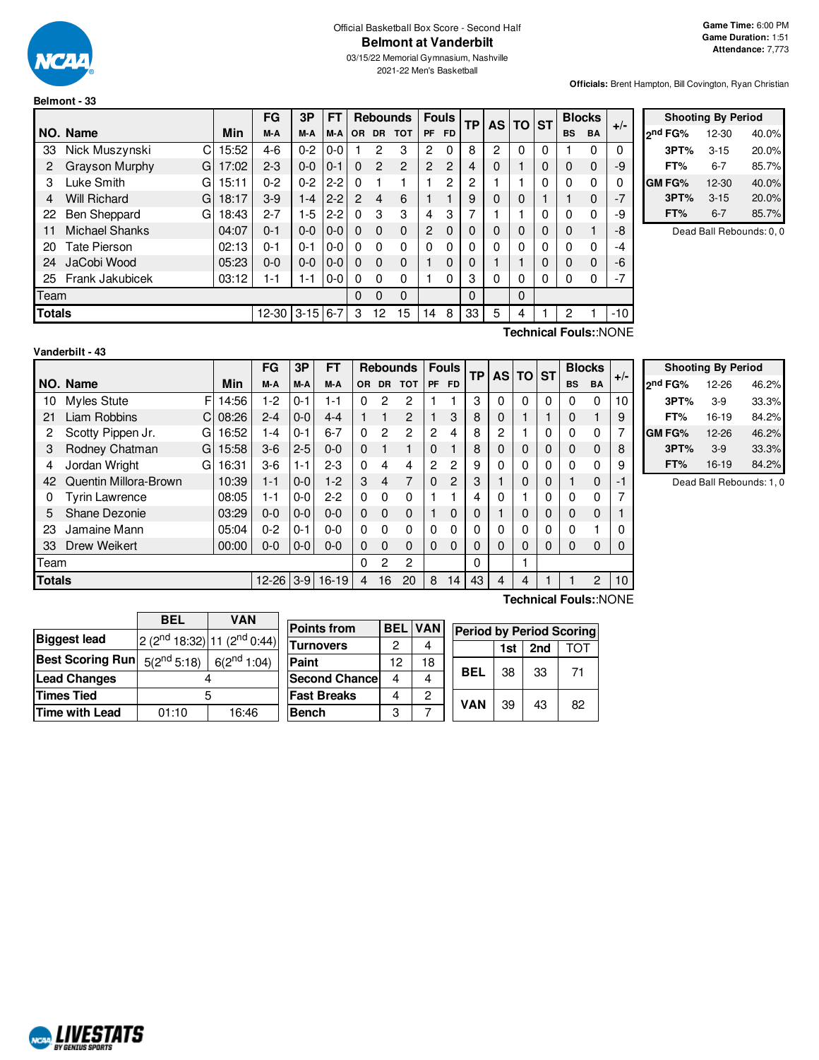

#### Official Basketball Box Score - Second Half **Belmont at Vanderbilt**

03/15/22 Memorial Gymnasium, Nashville 2021-22 Men's Basketball

**Officials:** Brent Hampton, Bill Covington, Ryan Christian

|               |                            |       | FG           | 3P      | <b>FT</b> |               | <b>Rebounds</b> |                |                | <b>Fouls</b>   | ТP | <b>AS</b> | <b>TO</b> | <b>ST</b> |           | <b>Blocks</b> | $+/-$ |  |
|---------------|----------------------------|-------|--------------|---------|-----------|---------------|-----------------|----------------|----------------|----------------|----|-----------|-----------|-----------|-----------|---------------|-------|--|
|               | NO. Name                   | Min   | M-A          | M-A     | M-A       | <b>OR</b>     | <b>DR</b>       | <b>TOT</b>     | <b>PF</b>      | <b>FD</b>      |    |           |           |           | <b>BS</b> | <b>BA</b>     |       |  |
| 33            | Nick Muszynski<br>C        | 15:52 | $4-6$        | $0 - 2$ | $0 - 0$   |               | 2               | 3              | 2              | $\Omega$       | 8  | 2         | 0         | 0         |           | 0             | 0     |  |
| 2             | <b>Grayson Murphy</b><br>G | 17:02 | $2 - 3$      | $0-0$   | $0 - 1$   | $\Omega$      | 2               | $\overline{c}$ | $\overline{c}$ | $\overline{2}$ | 4  | 0         | ٠         | 0         | 0         | $\Omega$      | -9    |  |
| 3             | Luke Smith<br>G            | 15:11 | $0 - 2$      | $0 - 2$ | $2 - 2$   | 0             |                 |                |                | 2              | 2  |           |           | 0         | 0         | 0             | 0     |  |
| 4             | <b>Will Richard</b><br>G   | 18:17 | $3-9$        | $1 - 4$ | $2 - 2$   | $\mathcal{P}$ | $\overline{4}$  | 6              |                |                | 9  | 0         | 0         |           |           | $\Omega$      | $-7$  |  |
| 22            | Ben Sheppard<br>G          | 18:43 | $2 - 7$      | $1-5$   | $2 - 2$   | $\Omega$      | 3               | 3              | 4              | 3              | 7  |           |           | 0         | 0         | 0             | -9    |  |
| 11            | <b>Michael Shanks</b>      | 04:07 | $0 - 1$      | $0 - 0$ | $0-0$     | $\Omega$      | $\Omega$        | $\mathbf{0}$   | $\overline{2}$ | $\Omega$       | 0  | 0         | 0         | $\Omega$  | 0         |               | -8    |  |
| 20            | Tate Pierson               | 02:13 | $0 - 1$      | $0 - 1$ | $0 - 0$   | 0             | $\Omega$        | 0              | 0              | $\Omega$       | 0  | 0         | 0         | 0         | 0         | 0             | -4    |  |
| 24            | JaCobi Wood                | 05:23 | $0 - 0$      | $0 - 0$ | $0-0$     | $\Omega$      | $\Omega$        | $\Omega$       |                | $\Omega$       | 0  |           |           | 0         | 0         | $\Omega$      | -6    |  |
| 25            | Frank Jakubicek            | 03:12 | 1-1          | 1-1     | $0 - 0$   | 0             | 0               | 0              |                | $\Omega$       | 3  | 0         | 0         | 0         | 0         | 0             | $-7$  |  |
| Team          |                            |       |              |         |           | $\Omega$      | 0               | 0              |                |                | 0  |           | 0         |           |           |               |       |  |
| <b>Totals</b> |                            |       | $12-30$ 3-15 |         | $6 - 7$   | 3             | 12              | 15             | 14             | 8              | 33 | 5         | 4         |           | 2         |               | -10   |  |

| <b>Shooting By Period</b> |           |       |  |  |  |  |  |  |  |
|---------------------------|-----------|-------|--|--|--|--|--|--|--|
| ond FG%                   | $12 - 30$ | 40.0% |  |  |  |  |  |  |  |
| 3PT%                      | $3 - 15$  | 20.0% |  |  |  |  |  |  |  |
| FT%                       | 6-7       | 85.7% |  |  |  |  |  |  |  |
| <b>GM FG%</b>             | $12 - 30$ | 40.0% |  |  |  |  |  |  |  |
| 3PT%                      | $3 - 15$  | 20.0% |  |  |  |  |  |  |  |
| FT%                       | $6 - 7$   | 85.7% |  |  |  |  |  |  |  |

Dead Ball Rebounds: 0, 0

| Vanderbilt - 43 |  |
|-----------------|--|

**Technical Fouls:**:NONE

|        |                        |            | FG        | 3P      | FΤ        |           | <b>Rebounds</b> |                |                |                | <b>Fouls</b> |   |   |          | ТP        |                | <b>ASITO</b> | <b>ST</b> | <b>Blocks</b> |  |  |
|--------|------------------------|------------|-----------|---------|-----------|-----------|-----------------|----------------|----------------|----------------|--------------|---|---|----------|-----------|----------------|--------------|-----------|---------------|--|--|
|        | NO. Name               | Min        | M-A       | M-A     | M-A       | <b>OR</b> | <b>DR</b>       | <b>TOT</b>     | <b>PF</b>      | <b>FD</b>      |              |   |   |          | <b>BS</b> | BA             | $+/-$        |           |               |  |  |
| 10     | Myles Stute            | F<br>14:56 | 1-2       | $0 - 1$ | 1-1       | 0         | 2               | 2              |                |                | 3            | 0 | 0 | 0        | 0         | $\Omega$       | 10           |           |               |  |  |
| 21     | Liam Robbins<br>C      | 08:26      | $2 - 4$   | $0-0$   | $4 - 4$   |           |                 | $\overline{2}$ | 1              | 3              | 8            | 0 |   |          | 0         |                | 9            |           |               |  |  |
| 2      | Scotty Pippen Jr.<br>G | 16:52      | 1-4       | $0 - 1$ | $6 - 7$   | 0         | 2               | 2              | $\overline{c}$ | 4              | 8            | 2 |   |          | 0         | 0              |              |           |               |  |  |
| 3      | Rodney Chatman<br>G    | 15:58      | $3-6$     | $2 - 5$ | $0 - 0$   | 0         |                 |                | $\Omega$       | 1              | 8            | 0 | 0 | 0        | 0         | $\mathbf 0$    | 8            |           |               |  |  |
| 4      | Jordan Wright<br>G     | 16:31      | $3-6$     | $1 - 1$ | $2 - 3$   | 0         | 4               | 4              | 2              | 2              | 9            | 0 | 0 | $\Omega$ | $\Omega$  | $\Omega$       | 9            |           |               |  |  |
| 42     | Quentin Millora-Brown  | 10:39      | $1 - 1$   | $0-0$   | $1-2$     | 3         | 4               | 7              | $\Omega$       | $\overline{c}$ | 3            |   | 0 | $\Omega$ |           | $\mathbf 0$    |              |           |               |  |  |
| 0      | <b>Tyrin Lawrence</b>  | 08:05      | 1-1       | $0 - 0$ | $2-2$     | $\Omega$  | 0               | $\Omega$       |                |                | 4            | 0 |   | $\Omega$ |           | 0              |              |           |               |  |  |
| 5      | Shane Dezonie          | 03:29      | $0 - 0$   | $0 - 0$ | $0 - 0$   | 0         | $\Omega$        | $\Omega$       |                | 0              | 0            |   | 0 | 0        | 0         | $\mathbf 0$    |              |           |               |  |  |
| 23     | Jamaine Mann           | 05:04      | $0 - 2$   | $0 - 1$ | $0 - 0$   | 0         | 0               | $\mathbf{0}$   | $\Omega$       | 0              |              | 0 |   | $\Omega$ |           |                |              |           |               |  |  |
| 33     | Drew Weikert           | 00:00      | $0 - 0$   | $0-0$   | $0 - 0$   | 0         | $\Omega$        | $\Omega$       | $\Omega$       | $\Omega$       | 0            | 0 | 0 | 0        | 0         | $\mathbf 0$    |              |           |               |  |  |
| Team   |                        |            |           |         |           | 0         | 2               | 2              |                |                | 0            |   |   |          |           |                |              |           |               |  |  |
| Totals |                        |            | $12 - 26$ | $3-9$   | $16 - 19$ | 4         | 16              | 20             | 8              | 14             | 43           | 4 | 4 |          |           | $\overline{2}$ | 10           |           |               |  |  |
|        | $\sqrt{2}$<br>–        |            |           |         |           |           |                 |                |                |                |              |   |   |          |           |                |              |           |               |  |  |

|              | <b>Shooting By Period</b> |       |
|--------------|---------------------------|-------|
| 2nd FG%      | 12-26                     | 46.2% |
| 3PT%         | $3-9$                     | 33.3% |
| FT%          | 16-19                     | 84.2% |
| <b>GMFG%</b> | 12-26                     | 46.2% |
| 3PT%         | $3-9$                     | 33.3% |
| FT%          | 16-19                     | 84.2% |

Dead Ball Rebounds: 1, 0

|                         | <b>BEL</b><br><b>VAN</b>             |  |  |  |  |  |  |  |  |  |
|-------------------------|--------------------------------------|--|--|--|--|--|--|--|--|--|
| <b>Biggest lead</b>     | 2 ( $2nd$ 18:32) 11 ( $2nd$ 0:44)    |  |  |  |  |  |  |  |  |  |
| <b>Best Scoring Run</b> | $5(2^{nd} 5:18)$<br>$6(2^{nd} 1:04)$ |  |  |  |  |  |  |  |  |  |
| <b>Lead Changes</b>     |                                      |  |  |  |  |  |  |  |  |  |
| <b>Times Tied</b>       | 5                                    |  |  |  |  |  |  |  |  |  |
| <b>Time with Lead</b>   | 01:10<br>16:46                       |  |  |  |  |  |  |  |  |  |

NCAL LIVESTATS

| <b>Points from</b>   | <b>BEL</b> | <b>VAN</b> | <b>Period by Period Scoring</b> |    |    |    |  |  |  |  |  |  |
|----------------------|------------|------------|---------------------------------|----|----|----|--|--|--|--|--|--|
| <b>Turnovers</b>     | 2          |            | ГОТ<br>2nd<br>1st               |    |    |    |  |  |  |  |  |  |
| Paint                | 12         | 18         |                                 |    |    |    |  |  |  |  |  |  |
| <b>Second Chance</b> | 4          |            | BEL                             | 38 | 33 | 71 |  |  |  |  |  |  |
| <b>Fast Breaks</b>   | 4          | 2          | <b>VAN</b>                      |    |    |    |  |  |  |  |  |  |
| <b>Bench</b>         | 3          |            |                                 | 39 | 43 | 82 |  |  |  |  |  |  |

**Technical Fouls:**:NONE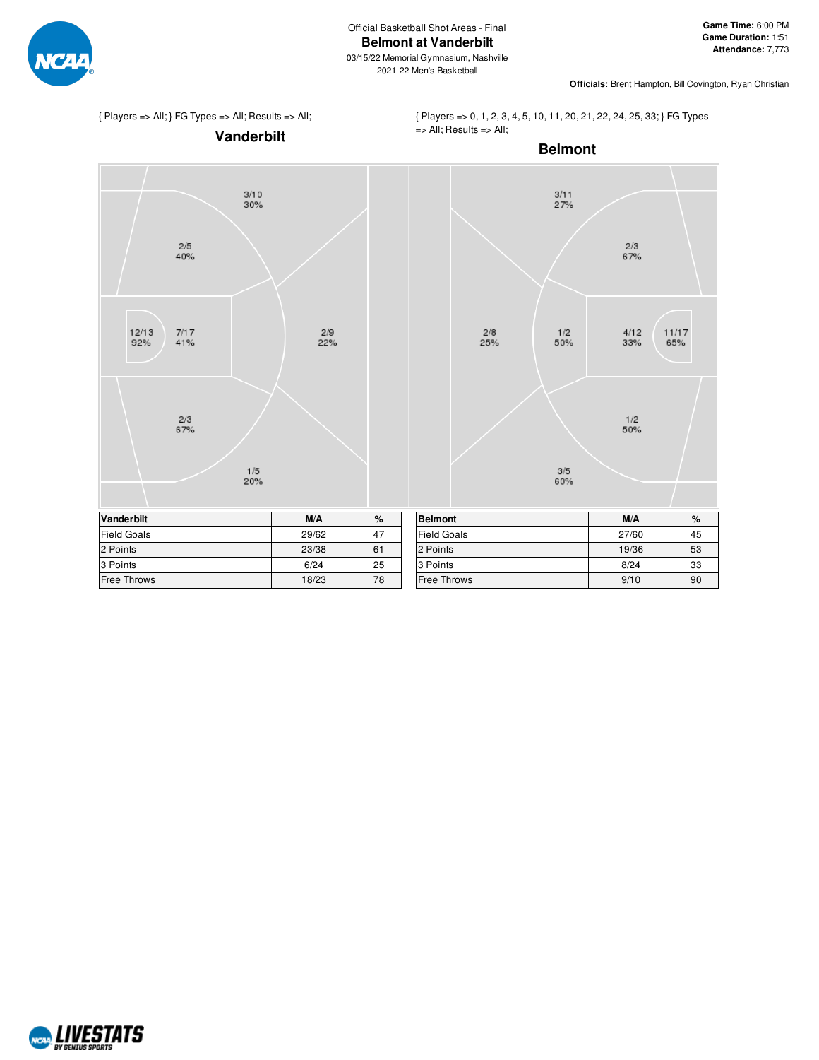

**Officials:** Brent Hampton, Bill Covington, Ryan Christian

# { Players => All; } FG Types => All; Results => All;

{ Players => 0, 1, 2, 3, 4, 5, 10, 11, 20, 21, 22, 24, 25, 33; } FG Types => All; Results => All;



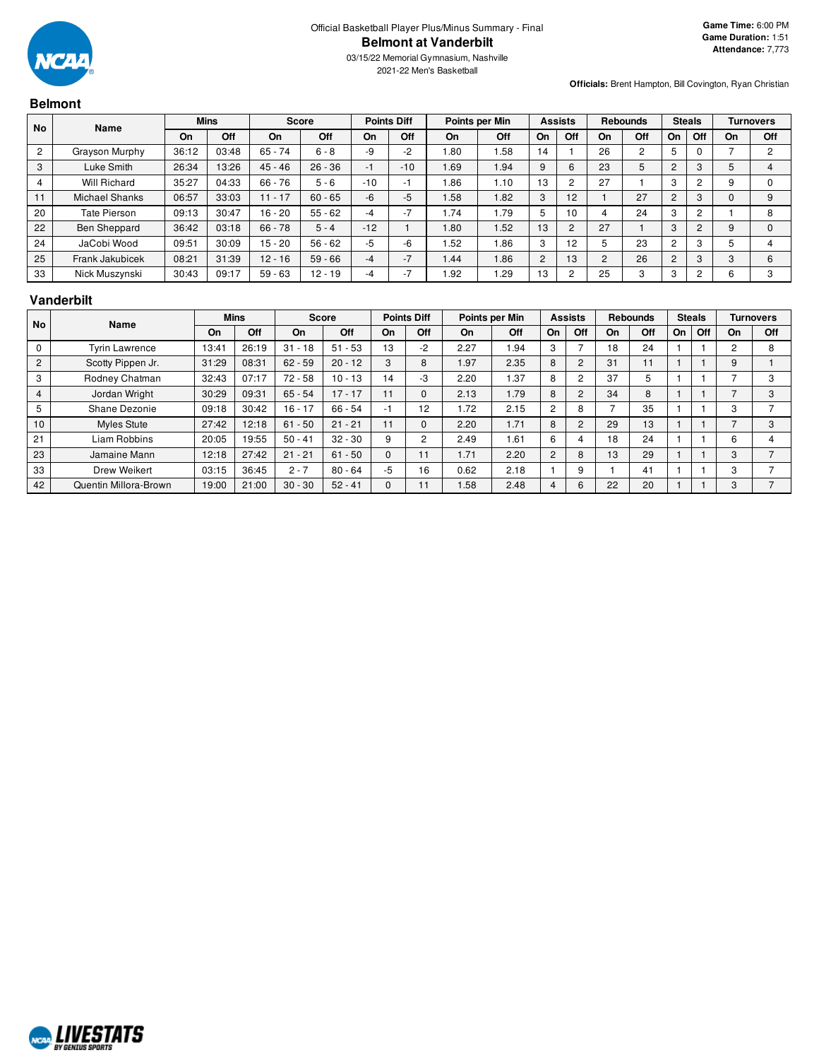

**Officials:** Brent Hampton, Bill Covington, Ryan Christian

# **Belmont**

| No | <b>Name</b>         |           | <b>Mins</b> | <b>Score</b> |           | <b>Points Diff</b> |                          | Points per Min |      | <b>Assists</b> |                | <b>Rebounds</b> |                | <b>Steals</b>  |     |         | <b>Turnovers</b> |
|----|---------------------|-----------|-------------|--------------|-----------|--------------------|--------------------------|----------------|------|----------------|----------------|-----------------|----------------|----------------|-----|---------|------------------|
|    |                     | <b>On</b> | Off         | On           | Off       | On                 | Off                      | On             | Off  | On             | Off            | On              | Off            | On             | Off | On      | Off              |
|    | Grayson Murphy      | 36:12     | 03:48       | $65 - 74$    | $6 - 8$   | -9                 | $-2$                     | 1.80           | 1.58 | 14             |                | 26              | $\overline{2}$ | 5              |     |         | C                |
| 3  | Luke Smith          | 26:34     | 13:26       | $45 - 46$    | $26 - 36$ | - 1                | $-10$                    | 1.69           | 1.94 | 9              | 6              | 23              | 5              | $\overline{2}$ |     |         |                  |
|    | Will Richard        | 35:27     | 04:33       | $66 - 76$    | $5 - 6$   | $-10$              | - 1                      | 1.86           | 1.10 | 13             |                | 27              |                | 3              |     |         |                  |
| 11 | Michael Shanks      | 06:57     | 33:03       | $11 - 17$    | $60 - 65$ | -6                 | $-5$                     | 1.58           | 1.82 | 3              | 12             |                 | 27             | $\overline{c}$ |     |         | 9                |
| 20 | Tate Pierson        | 09:13     | 30:47       | $16 - 20$    | $55 - 62$ | -4                 | $\overline{\phantom{a}}$ | 1.74           | 1.79 | 5              | 10             | 4               | 24             | 3              |     |         | 8                |
| 22 | <b>Ben Sheppard</b> | 36:42     | 03:18       | $66 - 78$    | $5 - 4$   | $-12$              |                          | 1.80           | 1.52 | 13             | $\overline{2}$ | 27              |                | 3              |     |         | $\Omega$         |
| 24 | JaCobi Wood         | 09:51     | 30:09       | $15 - 20$    | $56 - 62$ | $-5$               | -6                       | 1.52           | 1.86 | 3              | 12             | 5               | 23             | $\overline{2}$ |     |         |                  |
| 25 | Frank Jakubicek     | 08:21     | 31:39       | $12 - 16$    | $59 - 66$ | -4                 | $\overline{\phantom{a}}$ | 1.44           | 1.86 | 2              | 13             | 2               | 26             | $\overline{2}$ | 3   | ົ<br>C. | 6                |
| 33 | Nick Muszynski      | 30:43     | 09:17       | $59 - 63$    | $12 - 19$ |                    |                          | 1.92           | 1.29 | 13             | ◠              | 25              | 3              | 3              |     |         | 3                |

#### **Vanderbilt**

| <b>No</b>      | Name                  |       | <b>Mins</b> |           | Score     |          | <b>Points Diff</b> |      | Points per Min |    | <b>Assists</b>           |    | <b>Rebounds</b> |    | <b>Steals</b> |                | <b>Turnovers</b> |
|----------------|-----------------------|-------|-------------|-----------|-----------|----------|--------------------|------|----------------|----|--------------------------|----|-----------------|----|---------------|----------------|------------------|
|                |                       | On    | Off         | On        | Off       | On       | Off                | On   | Off            | On | Off                      | On | Off             | On | Off           | On             | Off              |
| 0              | <b>Tyrin Lawrence</b> | 13:41 | 26:19       | $31 - 18$ | $51 - 53$ | 13       | $-2$               | 2.27 | .94            | 3  | $\overline{\phantom{0}}$ | 18 | 24              |    |               | $\overline{c}$ | 8                |
| 2              | Scotty Pippen Jr.     | 31:29 | 08:31       | $62 - 59$ | $20 - 12$ | 3        | 8                  | .97  | 2.35           | 8  | 2                        | 31 | 11              |    |               | 9              |                  |
| 3              | Rodney Chatman        | 32:43 | 07:17       | $72 - 58$ | $10 - 13$ | 14       | -3                 | 2.20 | 1.37           | 8  | 2                        | 37 | 5               |    |               |                | з                |
| $\overline{4}$ | Jordan Wright         | 30:29 | 09:31       | $65 - 54$ | $17 - 17$ |          |                    | 2.13 | 1.79           | 8  | $\overline{2}$           | 34 | 8               |    |               |                | 3                |
| 5              | Shane Dezonie         | 09:18 | 30:42       | $16 - 17$ | $66 - 54$ | ÷        | 12                 | 1.72 | 2.15           | 2  | 8                        |    | 35              |    |               | 3              |                  |
| 10             | <b>Myles Stute</b>    | 27:42 | 12:18       | $61 - 50$ | $21 - 21$ | 11       |                    | 2.20 | 1.71           | 8  | $\overline{2}$           | 29 | 13              |    |               |                | 3                |
| 21             | Liam Robbins          | 20:05 | 19:55       | $50 - 41$ | $32 - 30$ | 9        |                    | 2.49 | 1.61           | 6  | 4                        | 18 | 24              |    |               | 6              |                  |
| 23             | Jamaine Mann          | 12:18 | 27:42       | $21 - 21$ | $61 - 50$ | $\Omega$ | 11                 | 1.71 | 2.20           | 2  | 8                        | 13 | 29              |    |               | 3              |                  |
| 33             | Drew Weikert          | 03:15 | 36:45       | $2 - 7$   | $80 - 64$ | $-5$     | 16                 | 0.62 | 2.18           |    | 9                        |    | 41              |    |               | 3              |                  |
| 42             | Quentin Millora-Brown | 19:00 | 21:00       | $30 - 30$ | $52 - 41$ |          |                    | 1.58 | 2.48           | 4  | 6                        | 22 | 20              |    |               | 3              |                  |

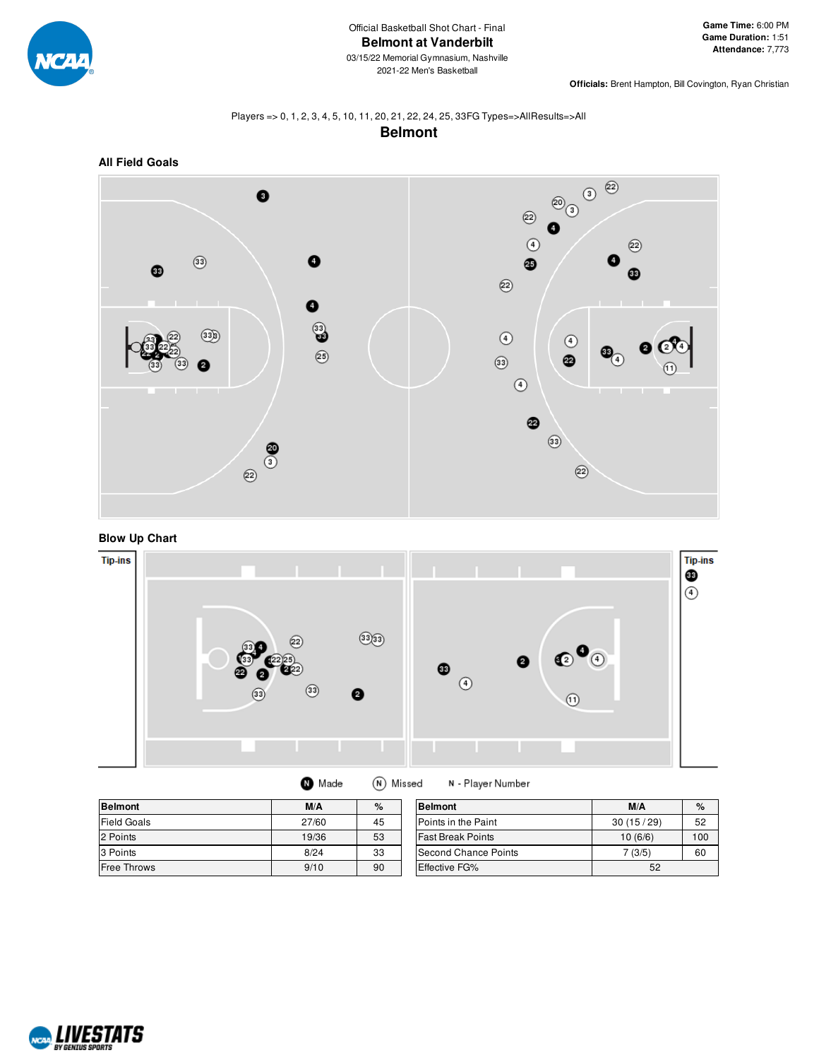

**Officials:** Brent Hampton, Bill Covington, Ryan Christian

#### Players => 0, 1, 2, 3, 4, 5, 10, 11, 20, 21, 22, 24, 25, 33FG Types=>AllResults=>All **Belmont**







| <b>Belmont</b>     | M/A   | %  | <b>Belmont</b>           | M/A       | $\%$ |
|--------------------|-------|----|--------------------------|-----------|------|
| <b>Field Goals</b> | 27/60 | 45 | Points in the Paint      | 30(15/29) | 52   |
| 2 Points           | 19/36 | 53 | <b>Fast Break Points</b> | 10(6/6)   | 100  |
| 3 Points           | 8/24  | 33 | Second Chance Points     | 7 (3/5)   | 60   |
| <b>Free Throws</b> | 9/10  | 90 | Effective FG%            | 52        |      |

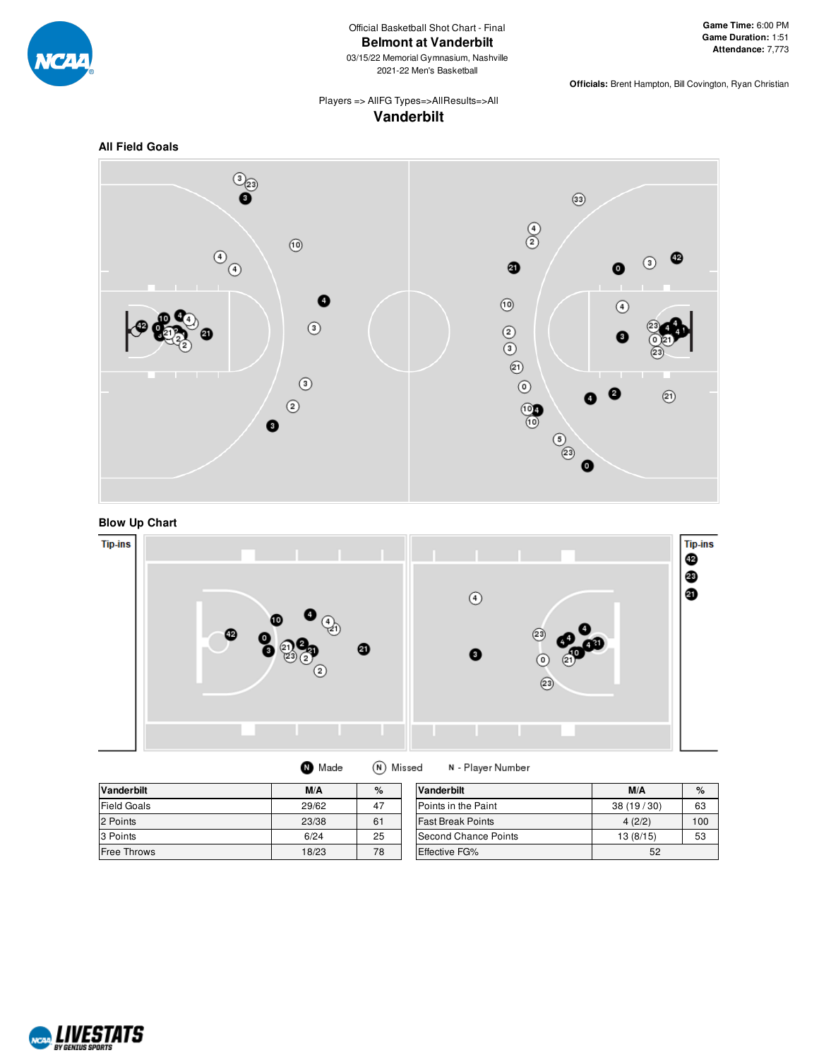

# Official Basketball Shot Chart - Final **Belmont at Vanderbilt**

03/15/22 Memorial Gymnasium, Nashville 2021-22 Men's Basketball

**Officials:** Brent Hampton, Bill Covington, Ryan Christian

# Players => AllFG Types=>AllResults=>All **Vanderbilt**







| Made | (N) Missed |  |
|------|------------|--|
|------|------------|--|

N - Player Number

| <b>Vanderbilt</b>  | M/A   | %  | <b>Vanderbilt</b>        | M/A       | $\%$ |
|--------------------|-------|----|--------------------------|-----------|------|
| <b>Field Goals</b> | 29/62 | 47 | Points in the Paint      | 38(19/30) | 63   |
| 2 Points           | 23/38 | 61 | <b>Fast Break Points</b> | 4(2/2)    | 100  |
| 3 Points           | 6/24  | 25 | Second Chance Points     | 13(8/15)  | 53   |
| <b>Free Throws</b> | 18/23 | 78 | Effective FG%            | 52        |      |

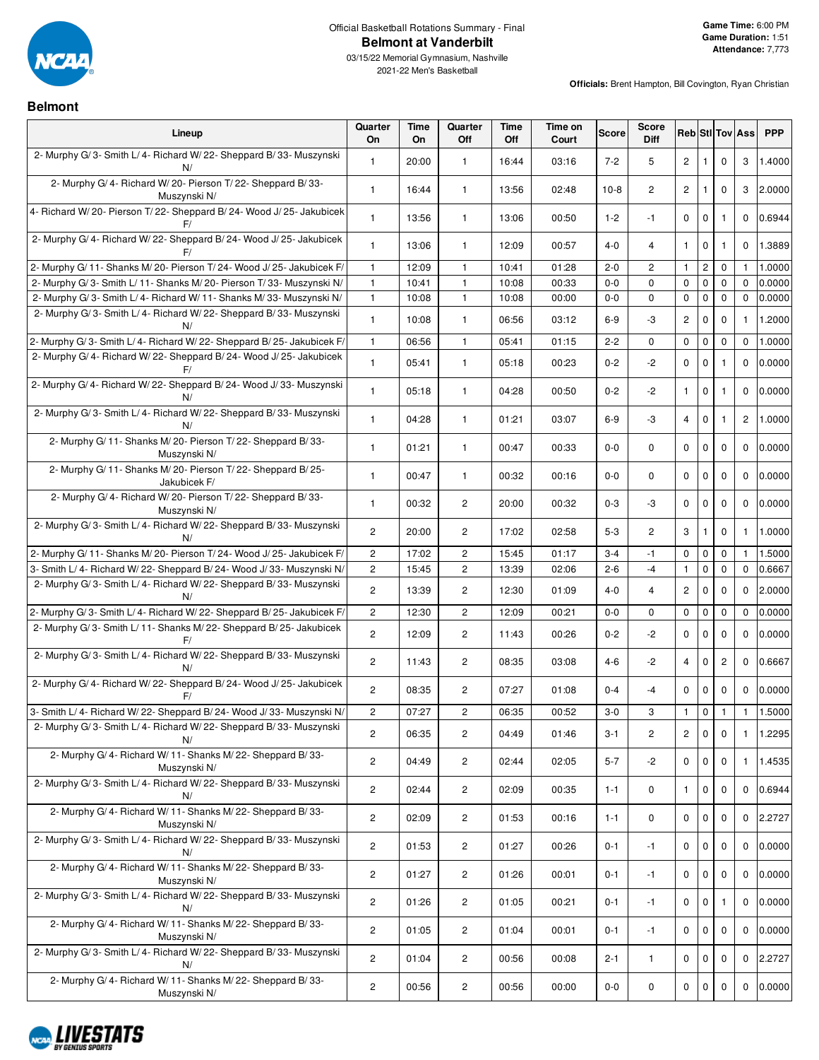

# Official Basketball Rotations Summary - Final **Belmont at Vanderbilt**

**Officials:** Brent Hampton, Bill Covington, Ryan Christian

**Belmont**

| Lineup                                                                        | Quarter<br>On           | <b>Time</b><br><b>On</b> | Quarter<br>Off          | <b>Time</b><br>Off | Time on<br>Court | <b>Score</b> | <b>Score</b><br><b>Diff</b> |                |                |                | <b>Reb</b> Stl Tov Ass | <b>PPP</b> |
|-------------------------------------------------------------------------------|-------------------------|--------------------------|-------------------------|--------------------|------------------|--------------|-----------------------------|----------------|----------------|----------------|------------------------|------------|
| 2- Murphy G/3- Smith L/4- Richard W/22- Sheppard B/33- Muszynski<br>N/        | 1                       | 20:00                    | $\mathbf{1}$            | 16:44              | 03:16            | $7 - 2$      | 5                           | $\overline{c}$ | $\mathbf{1}$   | 0              | 3                      | 1.4000     |
| 2- Murphy G/4- Richard W/20- Pierson T/22- Sheppard B/33-<br>Muszynski N/     | 1                       | 16:44                    | $\mathbf{1}$            | 13:56              | 02:48            | $10-8$       | 2                           | $\overline{c}$ | 1              | 0              | 3                      | 2.0000     |
| 4- Richard W/20- Pierson T/22- Sheppard B/24- Wood J/25- Jakubicek<br>F/      | 1                       | 13:56                    | $\mathbf{1}$            | 13:06              | 00:50            | $1 - 2$      | $-1$                        | $\mathbf 0$    | $\mathbf 0$    | $\mathbf{1}$   | $\Omega$               | 0.6944     |
| 2- Murphy G/4- Richard W/22- Sheppard B/24- Wood J/25- Jakubicek<br>F/        | 1                       | 13:06                    | $\mathbf{1}$            | 12:09              | 00:57            | $4 - 0$      | 4                           | $\mathbf{1}$   | $\mathbf 0$    | $\mathbf{1}$   | $\mathbf 0$            | 1.3889     |
| 2- Murphy G/ 11- Shanks M/ 20- Pierson T/ 24- Wood J/ 25- Jakubicek F/        | $\mathbf{1}$            | 12:09                    | $\mathbf{1}$            | 10:41              | 01:28            | $2 - 0$      | $\overline{c}$              | $\mathbf{1}$   | $\overline{c}$ | 0              | $\mathbf{1}$           | 1.0000     |
| 2- Murphy G/3- Smith L/11- Shanks M/20- Pierson T/33- Muszynski N/            | $\mathbf{1}$            | 10:41                    | $\mathbf{1}$            | 10:08              | 00:33            | $0-0$        | 0                           | 0              | $\pmb{0}$      | $\mathbf 0$    | $\Omega$               | 0.0000     |
| 2- Murphy G/3- Smith L/4- Richard W/11- Shanks M/33- Muszynski N/             | 1                       | 10:08                    | $\mathbf{1}$            | 10:08              | 00:00            | $0-0$        | 0                           | 0              | $\pmb{0}$      | $\mathbf 0$    | $\mathbf 0$            | 0.0000     |
| 2- Murphy G/3- Smith L/4- Richard W/22- Sheppard B/33- Muszynski<br>N/        | 1                       | 10:08                    | $\mathbf{1}$            | 06:56              | 03:12            | $6-9$        | -3                          | $\overline{c}$ | 0              | 0              | 1                      | 1.2000     |
| 2- Murphy G/3- Smith L/4- Richard W/22- Sheppard B/25- Jakubicek F/           | $\mathbf{1}$            | 06:56                    | $\mathbf{1}$            | 05:41              | 01:15            | $2 - 2$      | 0                           | $\mathbf 0$    | $\mathbf 0$    | 0              | 0                      | 1.0000     |
| 2- Murphy G/4- Richard W/22- Sheppard B/24- Wood J/25- Jakubicek              | 1                       | 05:41                    | $\mathbf{1}$            | 05:18              | 00:23            | $0 - 2$      | -2                          | $\mathbf 0$    | 0              | $\mathbf{1}$   | $\mathbf 0$            | 0.0000     |
| 2- Murphy G/4- Richard W/22- Sheppard B/24- Wood J/33- Muszynski              | 1                       | 05:18                    | $\mathbf{1}$            | 04:28              | 00:50            | $0 - 2$      | $-2$                        | $\mathbf{1}$   | 0              | 1              | $\mathbf 0$            | 0.0000     |
| 2- Murphy G/3- Smith L/4- Richard W/22- Sheppard B/33- Muszynski<br>N/        | $\mathbf{1}$            | 04:28                    | $\mathbf{1}$            | 01:21              | 03:07            | $6-9$        | -3                          | $\overline{4}$ | $\mathbf 0$    | $\mathbf{1}$   | 2                      | 1.0000     |
| 2- Murphy G/ 11- Shanks M/ 20- Pierson T/ 22- Sheppard B/ 33-<br>Muszynski N/ | 1                       | 01:21                    | $\mathbf{1}$            | 00:47              | 00:33            | $0-0$        | 0                           | 0              | 0              | 0              | $\mathbf 0$            | 0.0000     |
| 2- Murphy G/ 11- Shanks M/ 20- Pierson T/ 22- Sheppard B/ 25-<br>Jakubicek F/ | 1                       | 00:47                    | $\mathbf{1}$            | 00:32              | 00:16            | $0-0$        | 0                           | $\mathbf 0$    | 0              | 0              | $\mathbf 0$            | 0.0000     |
| 2- Murphy G/4- Richard W/20- Pierson T/22- Sheppard B/33-<br>Muszynski N/     | $\mathbf{1}$            | 00:32                    | $\overline{c}$          | 20:00              | 00:32            | $0 - 3$      | -3                          | $\mathbf 0$    | $\mathbf 0$    | $\mathbf 0$    | $\mathbf 0$            | 0.0000     |
| 2- Murphy G/3- Smith L/4- Richard W/22- Sheppard B/33- Muszynski<br>N/        | $\overline{c}$          | 20:00                    | $\overline{c}$          | 17:02              | 02:58            | $5 - 3$      | 2                           | 3              | $\mathbf{1}$   | 0              | $\mathbf{1}$           | 1.0000     |
| 2- Murphy G/ 11- Shanks M/ 20- Pierson T/ 24- Wood J/ 25- Jakubicek F/        | $\mathbf{2}$            | 17:02                    | 2                       | 15:45              | 01:17            | $3 - 4$      | $-1$                        | $\mathbf 0$    | $\mathbf 0$    | $\mathbf 0$    | 1                      | 1.5000     |
| 3- Smith L/4- Richard W/22- Sheppard B/24- Wood J/33- Muszynski N/            | $\overline{c}$          | 15:45                    | $\overline{c}$          | 13:39              | 02:06            | $2 - 6$      | $-4$                        | $\mathbf{1}$   | $\mathbf 0$    | 0              | 0                      | 0.6667     |
| 2- Murphy G/3- Smith L/4- Richard W/22- Sheppard B/33- Muszynski<br>N/        | 2                       | 13:39                    | $\overline{c}$          | 12:30              | 01:09            | $4 - 0$      | 4                           | $\overline{c}$ | 0              | 0              | $\mathbf 0$            | 2.0000     |
| 2- Murphy G/3- Smith L/4- Richard W/22- Sheppard B/25- Jakubicek F/           | $\overline{\mathbf{c}}$ | 12:30                    | $\overline{c}$          | 12:09              | 00:21            | $0-0$        | 0                           | 0              | $\pmb{0}$      | 0              | $\mathbf 0$            | 0.0000     |
| 2- Murphy G/3- Smith L/11- Shanks M/22- Sheppard B/25- Jakubicek<br>F/        | $\mathbf{2}^{\prime}$   | 12:09                    | $\overline{c}$          | 11:43              | 00:26            | $0 - 2$      | $-2$                        | $\mathbf 0$    | $\mathbf 0$    | $\mathbf 0$    | $\mathbf 0$            | 0.0000     |
| 2- Murphy G/3- Smith L/4- Richard W/22- Sheppard B/33- Muszynski<br>N/        | $\mathbf{2}^{\prime}$   | 11:43                    | 2                       | 08:35              | 03:08            | 4-6          | -2                          | $\overline{4}$ | $\mathbf 0$    | $\overline{c}$ | $\mathbf 0$            | 0.6667     |
| 2- Murphy G/4- Richard W/22- Sheppard B/24- Wood J/25- Jakubicek<br>F/        | $\mathbf{2}^{\prime}$   | 08:35                    | $\overline{c}$          | 07:27              | 01:08            | $0 - 4$      | $-4$                        | $\mathbf 0$    | $\mathbf 0$    | $\mathbf 0$    | $\mathbf 0$            | 0.0000     |
| 3- Smith L/4- Richard W/22- Sheppard B/24- Wood J/33- Muszynski N/            | $\mathbf{2}^{\prime}$   | 07:27                    | 2                       | 06:35              | 00:52            | $3-0$        | 3                           | $\mathbf{1}$   | $\mathbf 0$    | $\mathbf{1}$   | $\mathbf{1}$           | 1.5000     |
| 2- Murphy G/3- Smith L/4- Richard W/22- Sheppard B/33- Muszynski<br>N/        | $\overline{c}$          | 06:35                    | 2                       | 04:49              | 01:46            | $3 - 1$      | $\overline{c}$              | $\mathbf{2}$   | $\mathbf 0$    | $\pmb{0}$      | 1                      | 1.2295     |
| 2- Murphy G/4- Richard W/11- Shanks M/22- Sheppard B/33-<br>Muszynski N/      | $\overline{c}$          | 04:49                    | $\overline{c}$          | 02:44              | 02:05            | $5 - 7$      | $-2$                        | 0              | $\mathbf 0$    | 0              | $\mathbf{1}$           | 1.4535     |
| 2- Murphy G/3- Smith L/4- Richard W/22- Sheppard B/33- Muszynski<br>N/        | $\mathbf{2}^{\prime}$   | 02:44                    | $\overline{c}$          | 02:09              | 00:35            | $1 - 1$      | 0                           | $\mathbf{1}$   | $\mathbf 0$    | 0              | $\mathbf 0$            | 0.6944     |
| 2- Murphy G/4- Richard W/11- Shanks M/22- Sheppard B/33-<br>Muszynski N/      | $\mathbf{2}^{\prime}$   | 02:09                    | $\mathbf{2}$            | 01:53              | 00:16            | $1 - 1$      | 0                           | $\mathbf 0$    | $\mathbf 0$    | $\mathbf 0$    | $\mathbf 0$            | 2.2727     |
| 2- Murphy G/3- Smith L/4- Richard W/22- Sheppard B/33- Muszynski<br>N/        | $\overline{c}$          | 01:53                    | $\overline{c}$          | 01:27              | 00:26            | 0-1          | -1                          | 0              | 0              | 0              | $\mathbf 0$            | 0.0000     |
| 2- Murphy G/4- Richard W/11- Shanks M/22- Sheppard B/33-<br>Muszynski N/      | $\mathbf{2}^{\prime}$   | 01:27                    | $\overline{c}$          | 01:26              | 00:01            | $0 - 1$      | $-1$                        | 0              | $\mathbf 0$    | $\mathbf 0$    | $\mathbf 0$            | 0.0000     |
| 2- Murphy G/3- Smith L/4- Richard W/22- Sheppard B/33- Muszynski<br>N/        | $\overline{c}$          | 01:26                    | $\overline{c}$          | 01:05              | 00:21            | 0-1          | -1                          | 0              | 0              | 1              | $\mathbf 0$            | 0.0000     |
| 2- Murphy G/4- Richard W/11- Shanks M/22- Sheppard B/33-<br>Muszynski N/      | $\mathbf{2}^{\prime}$   | 01:05                    | $\mathbf{2}$            | 01:04              | 00:01            | $0 - 1$      | $-1$                        | 0              | $\mathbf 0$    | $\mathbf 0$    | $\mathbf 0$            | 0.0000     |
| 2- Murphy G/3- Smith L/4- Richard W/22- Sheppard B/33- Muszynski<br>N/        | $\overline{c}$          | 01:04                    | $\overline{\mathbf{c}}$ | 00:56              | 00:08            | 2-1          | 1                           | 0              | 0              | 0              | $\mathbf 0$            | 2.2727     |
| 2- Murphy G/4- Richard W/11- Shanks M/22- Sheppard B/33-<br>Muszynski N/      | $\overline{c}$          | 00:56                    | $\overline{2}$          | 00:56              | 00:00            | $0-0$        | 0                           | 0              | $\pmb{0}$      | 0              | 0                      | 0.0000     |

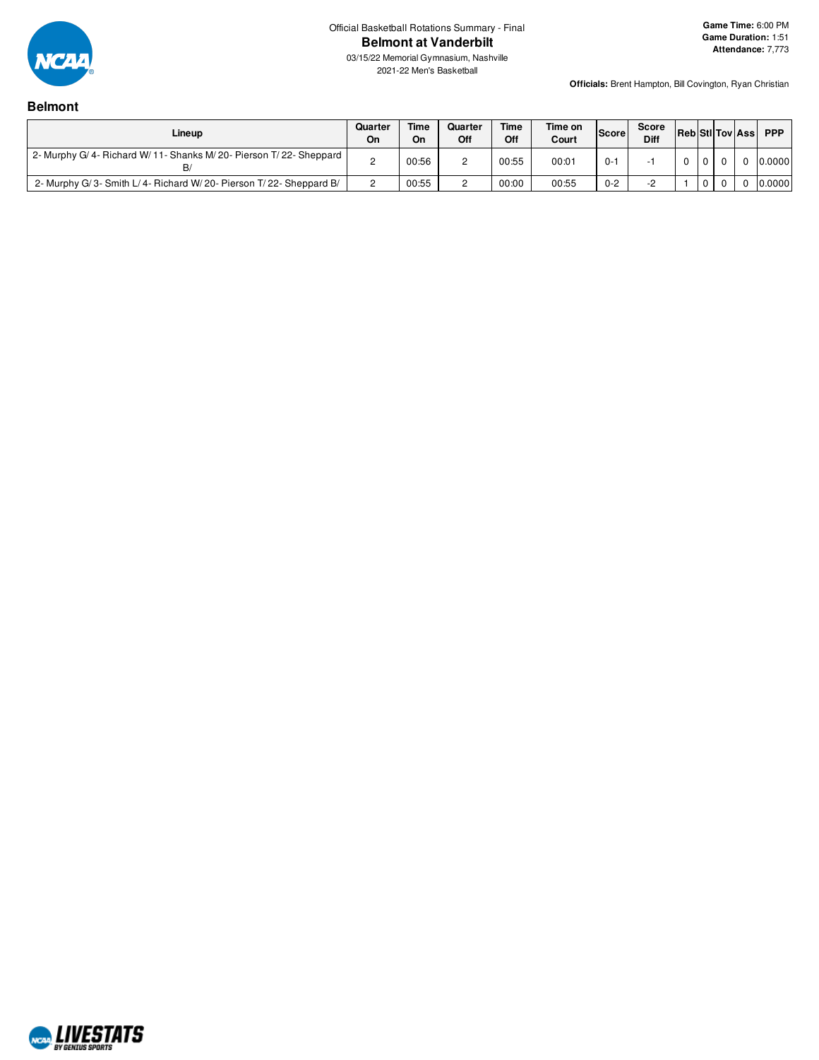

**Officials:** Brent Hampton, Bill Covington, Ryan Christian

# **Belmont**

| Lineup                                                            | Quarter<br>On | <b>Time</b><br>On | Quarter<br>Off | <b>Time</b><br>Off | Time on<br>Court | <b>Score</b> | Score<br><b>Diff</b> |          |          | <b>Reb</b> StIITov Ass | <b>PPP</b> |
|-------------------------------------------------------------------|---------------|-------------------|----------------|--------------------|------------------|--------------|----------------------|----------|----------|------------------------|------------|
| 2- Murphy G/4- Richard W/11- Shanks M/20- Pierson T/22- Sheppard  |               | 00:56             | -              | 00:55              | 00:01            | $0 -$        |                      | $\Omega$ | $\Omega$ |                        | 0.0000     |
| 2- Murphy G/3- Smith L/4- Richard W/20- Pierson T/22- Sheppard B/ |               | 00:55             | -              | 00:00              | 00:55            | $0 - 2$      |                      |          | 0        |                        | 0.0000     |

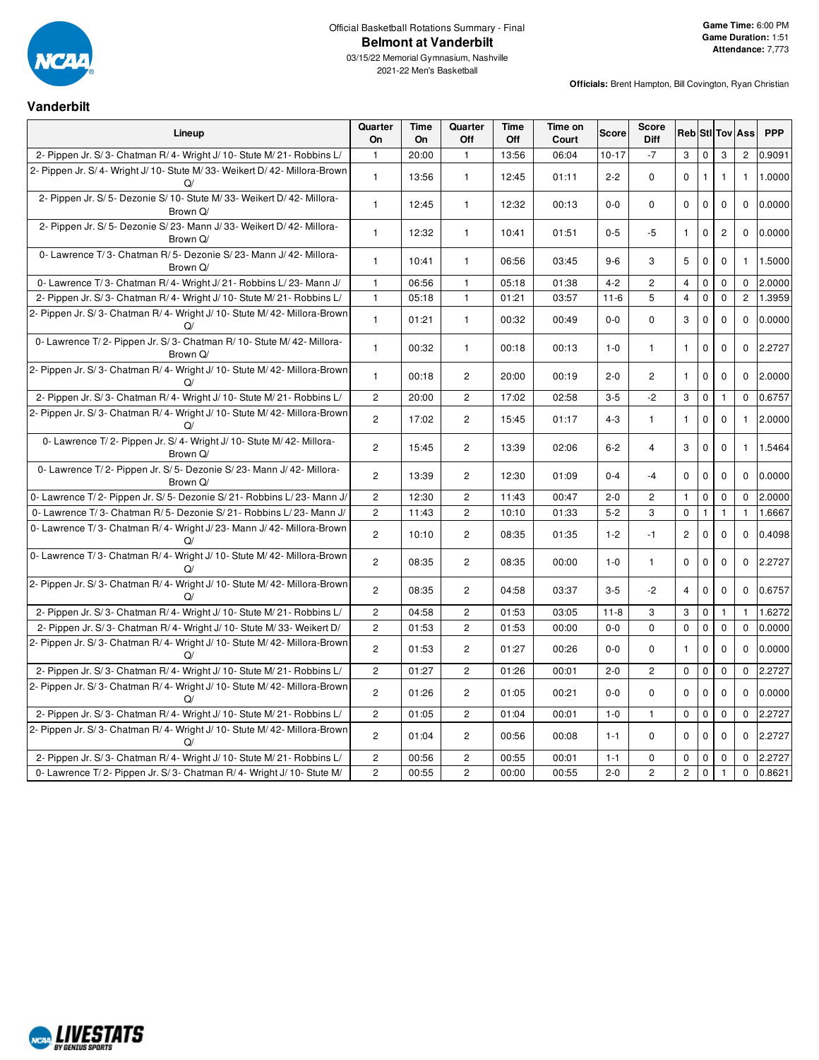

# Official Basketball Rotations Summary - Final **Belmont at Vanderbilt**

 $\overline{\phantom{a}}$ 

**Officials:** Brent Hampton, Bill Covington, Ryan Christian

#### **Vanderbilt**

| Lineup                                                                             | Quarter<br>On  | <b>Time</b><br><b>On</b> | Quarter<br>Off        | <b>Time</b><br>Off | Time on<br>Court | <b>Score</b> | <b>Score</b><br>Diff |                       |              |                | <b>Reb</b> Stl Tov Ass | <b>PPP</b> |
|------------------------------------------------------------------------------------|----------------|--------------------------|-----------------------|--------------------|------------------|--------------|----------------------|-----------------------|--------------|----------------|------------------------|------------|
| 2- Pippen Jr. S/3- Chatman R/4- Wright J/10- Stute M/21- Robbins L/                | $\mathbf{1}$   | 20:00                    | $\mathbf{1}$          | 13:56              | 06:04            | $10 - 17$    | $-7$                 | 3                     | $\mathbf 0$  | 3              | $\mathbf{2}^{\prime}$  | 0.9091     |
| 2- Pippen Jr. S/ 4- Wright J/ 10- Stute M/ 33- Weikert D/ 42- Millora-Brown<br>Q/  | $\mathbf{1}$   | 13:56                    | $\mathbf{1}$          | 12:45              | 01:11            | $2 - 2$      | $\mathbf 0$          | $\mathbf 0$           | $\mathbf{1}$ | $\mathbf{1}$   | $\mathbf{1}$           | 1.0000     |
| 2- Pippen Jr. S/5- Dezonie S/10- Stute M/33- Weikert D/42- Millora-<br>Brown Q/    | $\mathbf{1}$   | 12:45                    | $\mathbf{1}$          | 12:32              | 00:13            | $0-0$        | $\mathbf 0$          | $\mathbf 0$           | $\pmb{0}$    | $\mathbf 0$    | $\mathbf 0$            | 0.0000     |
| 2- Pippen Jr. S/ 5- Dezonie S/ 23- Mann J/ 33- Weikert D/ 42- Millora-<br>Brown Q/ | $\mathbf{1}$   | 12:32                    | $\mathbf{1}$          | 10:41              | 01:51            | $0 - 5$      | -5                   | $\mathbf{1}$          | $\mathbf 0$  | $\overline{c}$ | 0                      | 0.0000     |
| 0- Lawrence T/3- Chatman R/5- Dezonie S/23- Mann J/42- Millora-<br>Brown Q/        | $\mathbf{1}$   | 10:41                    | $\mathbf{1}$          | 06:56              | 03:45            | $9-6$        | 3                    | 5                     | $\pmb{0}$    | $\mathbf 0$    | $\mathbf{1}$           | 1.5000     |
| 0- Lawrence T/3- Chatman R/4- Wright J/21- Robbins L/23- Mann J/                   | $\mathbf{1}$   | 06:56                    | $\mathbf{1}$          | 05:18              | 01:38            | $4 - 2$      | $\overline{c}$       | $\overline{4}$        | $\mathsf 0$  | $\mathbf 0$    | $\mathbf 0$            | 2.0000     |
| 2- Pippen Jr. S/3- Chatman R/4- Wright J/10- Stute M/21- Robbins L/                | $\mathbf{1}$   | 05:18                    | $\mathbf{1}$          | 01:21              | 03:57            | $11 - 6$     | 5                    | $\overline{4}$        | $\pmb{0}$    | $\mathbf 0$    | $\overline{2}$         | 1.3959     |
| 2- Pippen Jr. S/3- Chatman R/4- Wright J/10- Stute M/42- Millora-Brown<br>$\Omega$ | $\mathbf{1}$   | 01:21                    | $\mathbf{1}$          | 00:32              | 00:49            | $0-0$        | $\mathbf 0$          | 3                     | $\pmb{0}$    | $\mathbf 0$    | 0                      | 0.0000     |
| 0- Lawrence T/2- Pippen Jr. S/3- Chatman R/10- Stute M/42- Millora-<br>Brown Q/    | $\mathbf{1}$   | 00:32                    | $\mathbf{1}$          | 00:18              | 00:13            | $1 - 0$      | $\mathbf{1}$         | $\mathbf{1}$          | $\pmb{0}$    | $\mathbf 0$    | 0                      | 2.2727     |
| 2- Pippen Jr. S/3- Chatman R/4- Wright J/10- Stute M/42- Millora-Brown<br>$\Omega$ | $\mathbf{1}$   | 00:18                    | $\overline{2}$        | 20:00              | 00:19            | $2 - 0$      | $\overline{2}$       | $\mathbf{1}$          | $\mathbf 0$  | $\mathbf 0$    | 0                      | 2.0000     |
| 2- Pippen Jr. S/3- Chatman R/4- Wright J/10- Stute M/21- Robbins L/                | $\overline{c}$ | 20:00                    | $\mathbf{2}$          | 17:02              | 02:58            | $3-5$        | $-2$                 | 3                     | $\pmb{0}$    | $\mathbf{1}$   | $\Omega$               | 0.6757     |
| 2- Pippen Jr. S/3- Chatman R/4- Wright J/10- Stute M/42- Millora-Brown<br>$\Omega$ | $\overline{c}$ | 17:02                    | $\overline{2}$        | 15:45              | 01:17            | $4 - 3$      | $\mathbf{1}$         | $\mathbf{1}$          | $\mathbf 0$  | $\mathbf 0$    | $\mathbf{1}$           | 2.0000     |
| 0- Lawrence T/2- Pippen Jr. S/4- Wright J/10- Stute M/42- Millora-<br>Brown Q/     | $\overline{2}$ | 15:45                    | $\overline{2}$        | 13:39              | 02:06            | $6 - 2$      | $\overline{4}$       | 3                     | $\mathbf 0$  | $\mathbf 0$    | $\mathbf{1}$           | 1.5464     |
| 0- Lawrence T/2- Pippen Jr. S/5- Dezonie S/23- Mann J/42- Millora-<br>Brown Q/     | $\overline{c}$ | 13:39                    | $\mathbf{2}^{\prime}$ | 12:30              | 01:09            | $0 - 4$      | $-4$                 | $\mathbf 0$           | $\pmb{0}$    | $\mathbf 0$    | $\mathbf 0$            | 0.0000     |
| 0- Lawrence T/2- Pippen Jr. S/5- Dezonie S/21- Robbins L/23- Mann J/               | $\overline{c}$ | 12:30                    | $\overline{2}$        | 11:43              | 00:47            | $2 - 0$      | $\overline{c}$       | $\mathbf{1}$          | $\mathsf 0$  | $\mathbf 0$    | $\mathbf 0$            | 2.0000     |
| 0- Lawrence T/3- Chatman R/5- Dezonie S/21- Robbins L/23- Mann J/                  | $\overline{c}$ | 11:43                    | $\overline{c}$        | 10:10              | 01:33            | $5-2$        | 3                    | $\mathbf 0$           | $\mathbf{1}$ | $\mathbf{1}$   | $\mathbf{1}$           | 1.6667     |
| 0- Lawrence T/3- Chatman R/4- Wright J/23- Mann J/42- Millora-Brown<br>$\Omega$    | $\overline{2}$ | 10:10                    | $\overline{c}$        | 08:35              | 01:35            | $1 - 2$      | $-1$                 | $\mathbf{2}$          | $\mathbf 0$  | $\mathbf 0$    | $\mathbf 0$            | 0.4098     |
| 0- Lawrence T/3- Chatman R/4- Wright J/10- Stute M/42- Millora-Brown<br>Q/         | $\overline{2}$ | 08:35                    | $\overline{2}$        | 08:35              | 00:00            | $1 - 0$      | $\mathbf{1}$         | $\mathbf 0$           | $\pmb{0}$    | $\mathbf 0$    | 0                      | 2.2727     |
| 2- Pippen Jr. S/3- Chatman R/4- Wright J/10- Stute M/42- Millora-Brown<br>$\Omega$ | $\overline{2}$ | 08:35                    | $\overline{2}$        | 04:58              | 03:37            | $3-5$        | $-2$                 | $\overline{4}$        | $\mathbf 0$  | $\mathbf 0$    | $\Omega$               | 0.6757     |
| 2- Pippen Jr. S/3- Chatman R/4- Wright J/10- Stute M/21- Robbins L/                | $\mathbf{2}$   | 04:58                    | $\mathbf{2}$          | 01:53              | 03:05            | $11 - 8$     | 3                    | 3                     | $\mathbf 0$  | $\mathbf{1}$   | $\mathbf{1}$           | 1.6272     |
| 2- Pippen Jr. S/3- Chatman R/4- Wright J/10- Stute M/33- Weikert D/                | $\overline{c}$ | 01:53                    | $\overline{c}$        | 01:53              | 00:00            | $0 - 0$      | $\Omega$             | $\mathbf 0$           | $\pmb{0}$    | $\mathbf 0$    | $\Omega$               | 0.0000     |
| 2- Pippen Jr. S/3- Chatman R/4- Wright J/10- Stute M/42- Millora-Brown<br>$\Omega$ | $\overline{c}$ | 01:53                    | $\overline{c}$        | 01:27              | 00:26            | $0-0$        | 0                    | $\mathbf{1}$          | $\mathbf 0$  | $\mathbf 0$    | 0                      | 0.0000     |
| 2- Pippen Jr. S/3- Chatman R/4- Wright J/10- Stute M/21- Robbins L/                | $\overline{c}$ | 01:27                    | $\overline{c}$        | 01:26              | 00:01            | $2 - 0$      | $\overline{c}$       | $\mathbf 0$           | $\pmb{0}$    | $\pmb{0}$      | 0                      | 2.2727     |
| 2- Pippen Jr. S/3- Chatman R/4- Wright J/10- Stute M/42- Millora-Brown<br>$\Omega$ | $\overline{c}$ | 01:26                    | $\overline{c}$        | 01:05              | 00:21            | $0-0$        | $\mathbf 0$          | $\mathbf 0$           | $\mathbf 0$  | $\mathbf{0}$   | 0                      | 0.0000     |
| 2- Pippen Jr. S/3- Chatman R/4- Wright J/10- Stute M/21- Robbins L/                | $\overline{c}$ | 01:05                    | $\overline{c}$        | 01:04              | 00:01            | $1 - 0$      | $\mathbf{1}$         | 0                     | $\pmb{0}$    | $\mathbf 0$    | $\Omega$               | 2.2727     |
| 2- Pippen Jr. S/3- Chatman R/4- Wright J/10- Stute M/42- Millora-Brown<br>Q/       | $\overline{c}$ | 01:04                    | $\mathbf{2}^{\prime}$ | 00:56              | 00:08            | $1 - 1$      | $\mathbf 0$          | 0                     | $\mathbf 0$  | $\mathbf 0$    | 0                      | 2.2727     |
| 2- Pippen Jr. S/3- Chatman R/4- Wright J/10- Stute M/21- Robbins L/                | $\overline{c}$ | 00:56                    | $\overline{c}$        | 00:55              | 00:01            | $1 - 1$      | 0                    | $\mathbf 0$           | $\pmb{0}$    | $\mathbf 0$    | 0                      | 2.2727     |
| 0- Lawrence T/2- Pippen Jr. S/3- Chatman R/4- Wright J/10- Stute M/                | $\overline{c}$ | 00:55                    | $\overline{c}$        | 00:00              | 00:55            | $2 - 0$      | $\overline{c}$       | $\mathbf{2}^{\prime}$ | $\pmb{0}$    | $\mathbf{1}$   | $\mathbf 0$            | 0.8621     |

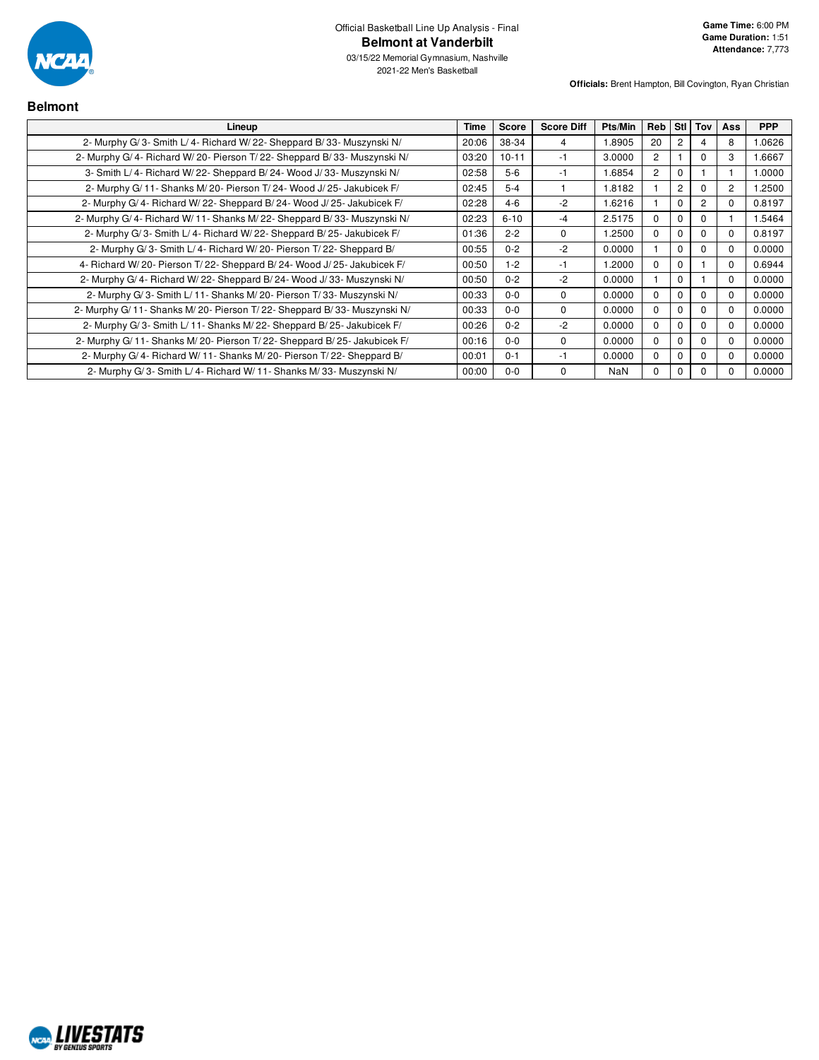

| <b>Belmont</b>                                                             |       |              |                   |            |                |                |                |            |            |
|----------------------------------------------------------------------------|-------|--------------|-------------------|------------|----------------|----------------|----------------|------------|------------|
| Lineup                                                                     | Time  | <b>Score</b> | <b>Score Diff</b> | Pts/Min    | Reb            | <b>StI</b>     | Tov            | <b>Ass</b> | <b>PPP</b> |
| 2- Murphy G/3- Smith L/4- Richard W/22- Sheppard B/33- Muszynski N/        | 20:06 | 38-34        | 4                 | 1.8905     | 20             |                |                | 8          | 0626.      |
| 2- Murphy G/4- Richard W/20- Pierson T/22- Sheppard B/33- Muszynski N/     | 03:20 | $10 - 11$    | -1                | 3.0000     | $\overline{c}$ |                | 0              | 3          | 1.6667     |
| 3- Smith L/4- Richard W/22- Sheppard B/24- Wood J/33- Muszynski N/         | 02:58 | $5-6$        | -1                | 1.6854     | $\overline{2}$ |                |                |            | 1.0000     |
| 2- Murphy G/11- Shanks M/20- Pierson T/24- Wood J/25- Jakubicek F/         | 02:45 | $5 - 4$      |                   | 1.8182     |                | $\overline{2}$ | 0              | 2          | 1.2500     |
| 2- Murphy G/4- Richard W/22- Sheppard B/24- Wood J/25- Jakubicek F/        | 02:28 | $4 - 6$      | $-2$              | 1.6216     |                |                | $\overline{2}$ | 0          | 0.8197     |
| 2- Murphy G/4- Richard W/11- Shanks M/22- Sheppard B/33- Muszynski N/      | 02:23 | $6 - 10$     | -4                | 2.5175     | $\Omega$       |                | 0              |            | 1.5464     |
| 2- Murphy G/3- Smith L/4- Richard W/22- Sheppard B/25- Jakubicek F/        | 01:36 | $2 - 2$      | $\mathbf 0$       | 1.2500     | $\Omega$       |                | $\Omega$       | $\Omega$   | 0.8197     |
| 2- Murphy G/3- Smith L/4- Richard W/20- Pierson T/22- Sheppard B/          | 00:55 | $0 - 2$      | -2                | 0.0000     |                | C              | 0              | $\Omega$   | 0.0000     |
| 4- Richard W/20- Pierson T/22- Sheppard B/24- Wood J/25- Jakubicek F/      | 00:50 | $1 - 2$      | -1                | 1.2000     | $\Omega$       |                |                | $\Omega$   | 0.6944     |
| 2- Murphy G/4- Richard W/22- Sheppard B/24- Wood J/33- Muszynski N/        | 00:50 | $0 - 2$      | $-2$              | 0.0000     |                | ŋ              |                | $\Omega$   | 0.0000     |
| 2- Murphy G/3- Smith L/11- Shanks M/20- Pierson T/33- Muszynski N/         | 00:33 | $0 - 0$      | $\Omega$          | 0.0000     | $\Omega$       |                | $\Omega$       |            | 0.0000     |
| 2- Murphy G/ 11- Shanks M/ 20- Pierson T/ 22- Sheppard B/ 33- Muszynski N/ | 00:33 | $0 - 0$      | $\Omega$          | 0.0000     | $\Omega$       |                | $\Omega$       |            | 0.0000     |
| 2- Murphy G/3- Smith L/11- Shanks M/22- Sheppard B/25- Jakubicek F/        | 00:26 | $0 - 2$      | $-2$              | 0.0000     | $\Omega$       |                | $\Omega$       |            | 0.0000     |
| 2- Murphy G/ 11- Shanks M/ 20- Pierson T/ 22- Sheppard B/ 25- Jakubicek F/ | 00:16 | $0 - 0$      | $\Omega$          | 0.0000     | $\Omega$       |                | 0              |            | 0.0000     |
| 2- Murphy G/4- Richard W/11- Shanks M/20- Pierson T/22- Sheppard B/        | 00:01 | $0 - 1$      | -1                | 0.0000     | $\Omega$       |                | 0              |            | 0.0000     |
| 2- Murphy G/3- Smith L/4- Richard W/11- Shanks M/33- Muszynski N/          | 00:00 | $0 - 0$      | $\mathbf 0$       | <b>NaN</b> | $\Omega$       |                | 0              |            | 0.0000     |